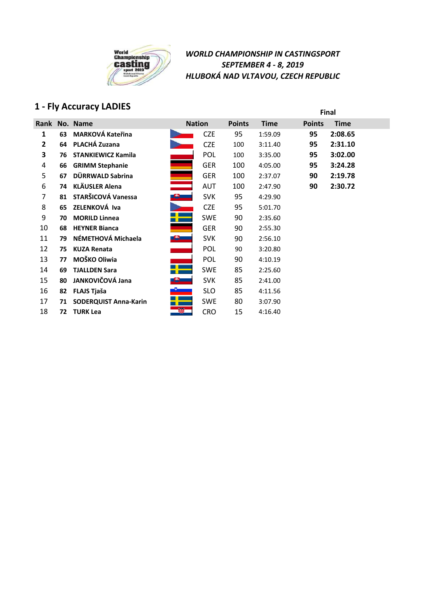

# **1 - Fly Accuracy LADIES Final**

| Rank |    | No. Name                     |           | <b>Nation</b> | <b>Points</b> | <b>Time</b> | <b>Points</b> | <b>Time</b> |
|------|----|------------------------------|-----------|---------------|---------------|-------------|---------------|-------------|
| 1    | 63 | <b>MARKOVÁ Kateřina</b>      |           | <b>CZE</b>    | 95            | 1:59.09     | 95            | 2:08.65     |
| 2    | 64 | PLACHÁ Zuzana                |           | <b>CZE</b>    | 100           | 3:11.40     | 95            | 2:31.10     |
| 3    | 76 | <b>STANKIEWICZ Kamila</b>    |           | <b>POL</b>    | 100           | 3:35.00     | 95            | 3:02.00     |
| 4    | 66 | <b>GRIMM Stephanie</b>       |           | <b>GER</b>    | 100           | 4:05.00     | 95            | 3:24.28     |
| 5    | 67 | DÜRRWALD Sabrina             | Ξ         | <b>GER</b>    | 100           | 2:37.07     | 90            | 2:19.78     |
| 6    | 74 | <b>KLÄUSLER Alena</b>        |           | <b>AUT</b>    | 100           | 2:47.90     | 90            | 2:30.72     |
| 7    | 81 | STARŠICOVÁ Vanessa           |           | <b>SVK</b>    | 95            | 4:29.90     |               |             |
| 8    | 65 | ZELENKOVÁ Iva                |           | <b>CZE</b>    | 95            | 5:01.70     |               |             |
| 9    | 70 | <b>MORILD Linnea</b>         |           | <b>SWE</b>    | 90            | 2:35.60     |               |             |
| 10   | 68 | <b>HEYNER Bianca</b>         |           | <b>GER</b>    | 90            | 2:55.30     |               |             |
| 11   | 79 | NÉMETHOVÁ Michaela           | <u>e </u> | <b>SVK</b>    | 90            | 2:56.10     |               |             |
| 12   | 75 | <b>KUZA Renata</b>           |           | POL           | 90            | 3:20.80     |               |             |
| 13   | 77 | MOŠKO Oliwia                 |           | POL           | 90            | 4:10.19     |               |             |
| 14   | 69 | <b>TJALLDEN Sara</b>         |           | <b>SWE</b>    | 85            | 2:25.60     |               |             |
| 15   | 80 | JANKOVIČOVÁ Jana             |           | <b>SVK</b>    | 85            | 2:41.00     |               |             |
| 16   | 82 | <b>FLAJS Tjaša</b>           |           | <b>SLO</b>    | 85            | 4:11.56     |               |             |
| 17   | 71 | <b>SODERQUIST Anna-Karin</b> |           | <b>SWE</b>    | 80            | 3:07.90     |               |             |
| 18   | 72 | <b>TURK Lea</b>              | 虊         | <b>CRO</b>    | 15            | 4:16.40     |               |             |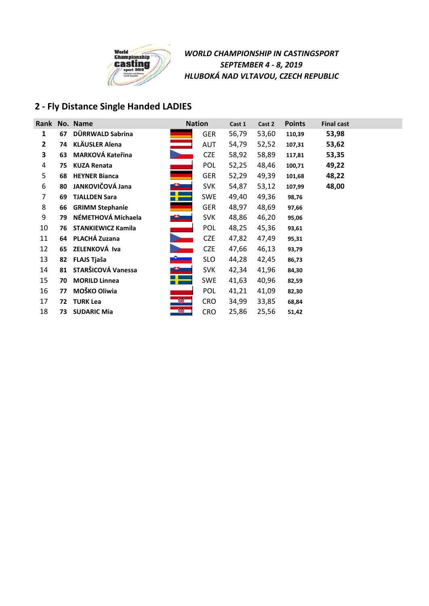

## **2 - Fly Distance Single Handed LADIES**

|                |    | Rank No. Name             | <b>Nation</b>    |            | Cast 1 | Cast 2 | <b>Points</b> | <b>Final cast</b> |
|----------------|----|---------------------------|------------------|------------|--------|--------|---------------|-------------------|
| 1              | 67 | DÜRRWALD Sabrina          |                  | <b>GER</b> | 56,79  | 53,60  | 110,39        | 53,98             |
| $\overline{2}$ | 74 | <b>KLÄUSLER Alena</b>     |                  | <b>AUT</b> | 54,79  | 52,52  | 107,31        | 53,62             |
| 3              | 63 | <b>MARKOVÁ Kateřina</b>   |                  | <b>CZE</b> | 58,92  | 58,89  | 117,81        | 53,35             |
| 4              | 75 | <b>KUZA Renata</b>        |                  | POL        | 52,25  | 48,46  | 100,71        | 49,22             |
| 5              | 68 | <b>HEYNER Bianca</b>      |                  | <b>GER</b> | 52,29  | 49,39  | 101,68        | 48,22             |
| 6              | 80 | JANKOVIČOVÁ Jana          |                  | <b>SVK</b> | 54,87  | 53,12  | 107,99        | 48,00             |
| 7              | 69 | <b>TJALLDEN Sara</b>      |                  | <b>SWE</b> | 49,40  | 49,36  | 98,76         |                   |
| 8              | 66 | <b>GRIMM Stephanie</b>    |                  | <b>GER</b> | 48,97  | 48,69  | 97,66         |                   |
| 9              | 79 | NÉMETHOVÁ Michaela        | <u>is a comp</u> | <b>SVK</b> | 48,86  | 46,20  | 95,06         |                   |
| 10             | 76 | <b>STANKIEWICZ Kamila</b> |                  | <b>POL</b> | 48,25  | 45,36  | 93,61         |                   |
| 11             | 64 | PLACHÁ Zuzana             |                  | <b>CZE</b> | 47,82  | 47,49  | 95,31         |                   |
| 12             | 65 | ZELENKOVÁ Iva             |                  | <b>CZE</b> | 47,66  | 46,13  | 93,79         |                   |
| 13             | 82 | <b>FLAJS Tjaša</b>        |                  | <b>SLO</b> | 44,28  | 42,45  | 86,73         |                   |
| 14             | 81 | STARŠICOVÁ Vanessa        |                  | <b>SVK</b> | 42,34  | 41,96  | 84,30         |                   |
| 15             | 70 | <b>MORILD Linnea</b>      |                  | <b>SWE</b> | 41,63  | 40,96  | 82,59         |                   |
| 16             | 77 | MOŠKO Oliwia              |                  | <b>POL</b> | 41,21  | 41,09  | 82,30         |                   |
| 17             | 72 | <b>TURK Lea</b>           | 缀                | <b>CRO</b> | 34,99  | 33,85  | 68,84         |                   |
| 18             | 73 | <b>SUDARIC Mia</b>        | 缀                | <b>CRO</b> | 25,86  | 25,56  | 51,42         |                   |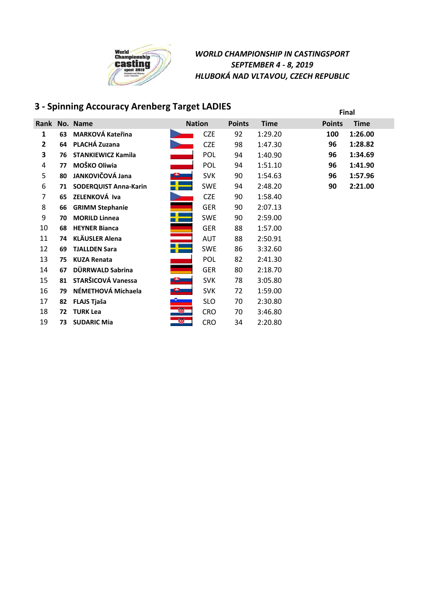

# **3 - Spinning Accouracy Arenberg Target LADIES Final**

| Rank |    | No. Name                     |             | <b>Nation</b> | <b>Points</b> | <b>Time</b> | <b>Points</b> | <b>Time</b> |
|------|----|------------------------------|-------------|---------------|---------------|-------------|---------------|-------------|
| 1    | 63 | <b>MARKOVÁ Kateřina</b>      |             | <b>CZE</b>    | 92            | 1:29.20     | 100           | 1:26.00     |
| 2    | 64 | PLACHÁ Zuzana                |             | <b>CZE</b>    | 98            | 1:47.30     | 96            | 1:28.82     |
| 3    | 76 | <b>STANKIEWICZ Kamila</b>    |             | POL           | 94            | 1:40.90     | 96            | 1:34.69     |
| 4    | 77 | MOŠKO Oliwia                 |             | <b>POL</b>    | 94            | 1:51.10     | 96            | 1:41.90     |
| 5    | 80 | JANKOVIČOVÁ Jana             |             | <b>SVK</b>    | 90            | 1:54.63     | 96            | 1:57.96     |
| 6    | 71 | <b>SODERQUIST Anna-Karin</b> |             | <b>SWE</b>    | 94            | 2:48.20     | 90            | 2:21.00     |
| 7    | 65 | ZELENKOVÁ Iva                |             | <b>CZE</b>    | 90            | 1:58.40     |               |             |
| 8    | 66 | <b>GRIMM Stephanie</b>       |             | <b>GER</b>    | 90            | 2:07.13     |               |             |
| 9    | 70 | <b>MORILD Linnea</b>         |             | <b>SWE</b>    | 90            | 2:59.00     |               |             |
| 10   | 68 | <b>HEYNER Bianca</b>         | Ē.          | <b>GER</b>    | 88            | 1:57.00     |               |             |
| 11   | 74 | <b>KLÄUSLER Alena</b>        |             | <b>AUT</b>    | 88            | 2:50.91     |               |             |
| 12   | 69 | <b>TJALLDEN Sara</b>         |             | <b>SWE</b>    | 86            | 3:32.60     |               |             |
| 13   | 75 | <b>KUZA Renata</b>           |             | <b>POL</b>    | 82            | 2:41.30     |               |             |
| 14   | 67 | DÜRRWALD Sabrina             | a ya        | <b>GER</b>    | 80            | 2:18.70     |               |             |
| 15   | 81 | STARŠICOVÁ Vanessa           | æ.          | <b>SVK</b>    | 78            | 3:05.80     |               |             |
| 16   | 79 | NÉMETHOVÁ Michaela           | <u>e – </u> | <b>SVK</b>    | 72            | 1:59.00     |               |             |
| 17   | 82 | <b>FLAJS Tjaša</b>           |             | <b>SLO</b>    | 70            | 2:30.80     |               |             |
| 18   | 72 | <b>TURK Lea</b>              | S.          | <b>CRO</b>    | 70            | 3:46.80     |               |             |
| 19   | 73 | <b>SUDARIC Mia</b>           | 靀           | <b>CRO</b>    | 34            | 2:20.80     |               |             |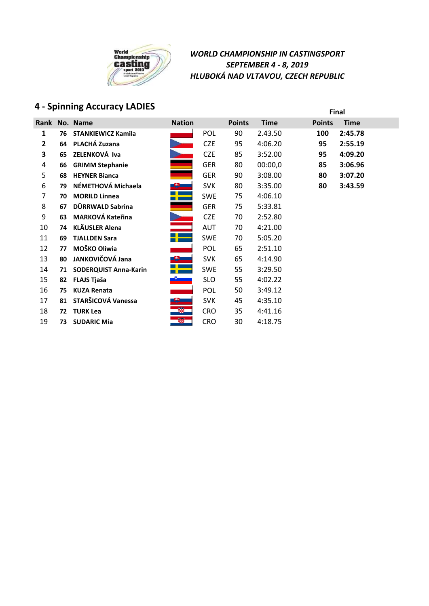

# **4 - Spinning Accuracy LADIES Final**

|    |    | Rank No. Name                | <b>Nation</b> |            | <b>Points</b> | <b>Time</b> | <b>Points</b> | <b>Time</b> |
|----|----|------------------------------|---------------|------------|---------------|-------------|---------------|-------------|
| 1  | 76 | <b>STANKIEWICZ Kamila</b>    |               | <b>POL</b> | 90            | 2.43.50     | 100           | 2:45.78     |
| 2  | 64 | PLACHÁ Zuzana                |               | <b>CZE</b> | 95            | 4:06.20     | 95            | 2:55.19     |
| 3  | 65 | ZELENKOVÁ Iva                |               | <b>CZE</b> | 85            | 3:52.00     | 95            | 4:09.20     |
| 4  | 66 | <b>GRIMM Stephanie</b>       |               | <b>GER</b> | 80            | 00:00,0     | 85            | 3:06.96     |
| 5  | 68 | <b>HEYNER Bianca</b>         |               | <b>GER</b> | 90            | 3:08.00     | 80            | 3:07.20     |
| 6  | 79 | NÉMETHOVÁ Michaela           |               | <b>SVK</b> | 80            | 3:35.00     | 80            | 3:43.59     |
| 7  | 70 | <b>MORILD Linnea</b>         |               | <b>SWE</b> | 75            | 4:06.10     |               |             |
| 8  | 67 | DÜRRWALD Sabrina             |               | <b>GER</b> | 75            | 5:33.81     |               |             |
| 9  | 63 | <b>MARKOVÁ Kateřina</b>      |               | <b>CZE</b> | 70            | 2:52.80     |               |             |
| 10 | 74 | <b>KLÄUSLER Alena</b>        |               | <b>AUT</b> | 70            | 4:21.00     |               |             |
| 11 | 69 | <b>TJALLDEN Sara</b>         |               | <b>SWE</b> | 70            | 5:05.20     |               |             |
| 12 | 77 | MOŠKO Oliwia                 |               | POL        | 65            | 2:51.10     |               |             |
| 13 | 80 | JANKOVIČOVÁ Jana             |               | <b>SVK</b> | 65            | 4:14.90     |               |             |
| 14 | 71 | <b>SODERQUIST Anna-Karin</b> |               | <b>SWE</b> | 55            | 3:29.50     |               |             |
| 15 | 82 | <b>FLAJS Tjaša</b>           |               | <b>SLO</b> | 55            | 4:02.22     |               |             |
| 16 | 75 | <b>KUZA Renata</b>           |               | POL        | 50            | 3:49.12     |               |             |
| 17 | 81 | STARŠICOVÁ Vanessa           |               | <b>SVK</b> | 45            | 4:35.10     |               |             |
| 18 | 72 | <b>TURK Lea</b>              | Ø.            | <b>CRO</b> | 35            | 4:41.16     |               |             |
| 19 | 73 | <b>SUDARIC Mia</b>           | 曪             | <b>CRO</b> | 30            | 4:18.75     |               |             |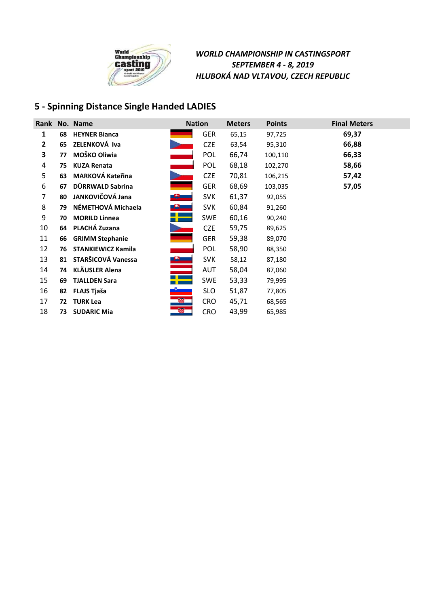

## **5 - Spinning Distance Single Handed LADIES**

|    |    | Rank No. Name             | <b>Nation</b> |            | <b>Meters</b> | <b>Points</b> | <b>Final Meters</b> |
|----|----|---------------------------|---------------|------------|---------------|---------------|---------------------|
| 1  | 68 | <b>HEYNER Bianca</b>      |               | <b>GER</b> | 65,15         | 97,725        | 69,37               |
| 2  | 65 | ZELENKOVÁ Iva             |               | <b>CZE</b> | 63,54         | 95,310        | 66,88               |
| 3  | 77 | MOŠKO Oliwia              |               | <b>POL</b> | 66,74         | 100,110       | 66,33               |
| 4  | 75 | <b>KUZA Renata</b>        |               | POL        | 68,18         | 102,270       | 58,66               |
| 5  | 63 | <b>MARKOVÁ Kateřina</b>   |               | <b>CZE</b> | 70,81         | 106,215       | 57,42               |
| 6  | 67 | DÜRRWALD Sabrina          |               | <b>GER</b> | 68,69         | 103,035       | 57,05               |
| 7  | 80 | JANKOVIČOVÁ Jana          | $\mathbf{B}$  | <b>SVK</b> | 61,37         | 92,055        |                     |
| 8  | 79 | NÉMETHOVÁ Michaela        |               | <b>SVK</b> | 60,84         | 91,260        |                     |
| 9  | 70 | <b>MORILD Linnea</b>      |               | SWE        | 60,16         | 90,240        |                     |
| 10 | 64 | PLACHÁ Zuzana             |               | <b>CZE</b> | 59,75         | 89,625        |                     |
| 11 | 66 | <b>GRIMM Stephanie</b>    |               | <b>GER</b> | 59,38         | 89,070        |                     |
| 12 | 76 | <b>STANKIEWICZ Kamila</b> |               | <b>POL</b> | 58,90         | 88,350        |                     |
| 13 | 81 | STARŠICOVÁ Vanessa        | $\triangle$   | <b>SVK</b> | 58,12         | 87,180        |                     |
| 14 |    | 74 KLÄUSLER Alena         |               | AUT        | 58,04         | 87,060        |                     |
| 15 | 69 | <b>TJALLDEN Sara</b>      |               | SWE        | 53,33         | 79,995        |                     |
| 16 | 82 | FLAJS Tjaša               |               | <b>SLO</b> | 51,87         | 77,805        |                     |
| 17 | 72 | <b>TURK Lea</b>           |               | <b>CRO</b> | 45,71         | 68,565        |                     |
| 18 | 73 | <b>SUDARIC Mia</b>        | 錣             | <b>CRO</b> | 43,99         | 65,985        |                     |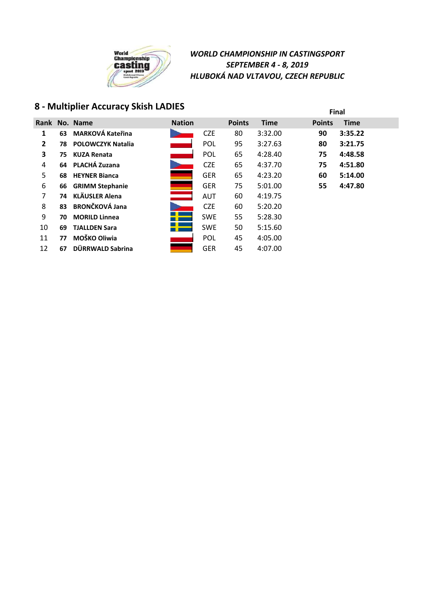

# **Final 8 - Multiplier Accuracy Skish LADIES**

| Rank         |    | No. Name                | <b>Nation</b>                    |            | <b>Points</b> | <b>Time</b> | <b>Points</b> | <b>Time</b> |
|--------------|----|-------------------------|----------------------------------|------------|---------------|-------------|---------------|-------------|
| $\mathbf{1}$ | 63 | <b>MARKOVÁ Kateřina</b> |                                  | <b>CZE</b> | 80            | 3:32.00     | 90            | 3:35.22     |
| $\mathbf{2}$ |    | 78 POLOWCZYK Natalia    |                                  | <b>POL</b> | 95            | 3:27.63     | 80            | 3:21.75     |
| 3            | 75 | <b>KUZA Renata</b>      |                                  | <b>POL</b> | 65            | 4:28.40     | 75            | 4:48.58     |
| 4            |    | 64 PLACHÁ Zuzana        |                                  | <b>CZE</b> | 65            | 4:37.70     | 75            | 4:51.80     |
| 5            | 68 | <b>HEYNER Bianca</b>    |                                  | <b>GER</b> | 65            | 4:23.20     | 60            | 5:14.00     |
| 6            | 66 | <b>GRIMM Stephanie</b>  |                                  | <b>GER</b> | 75            | 5:01.00     | 55            | 4:47.80     |
| 7            | 74 | KLÄUSLER Alena          | <b>State State</b><br><u>e e</u> | <b>AUT</b> | 60            | 4:19.75     |               |             |
| 8            | 83 | <b>BRONČKOVÁ Jana</b>   |                                  | <b>CZE</b> | 60            | 5:20.20     |               |             |
| 9            | 70 | <b>MORILD Linnea</b>    |                                  | <b>SWE</b> | 55            | 5:28.30     |               |             |
| 10           | 69 | <b>TJALLDEN Sara</b>    |                                  | <b>SWE</b> | 50            | 5:15.60     |               |             |
| 11           | 77 | MOŠKO Oliwia            |                                  | <b>POL</b> | 45            | 4:05.00     |               |             |
| 12           | 67 | DÜRRWALD Sabrina        |                                  | <b>GER</b> | 45            | 4:07.00     |               |             |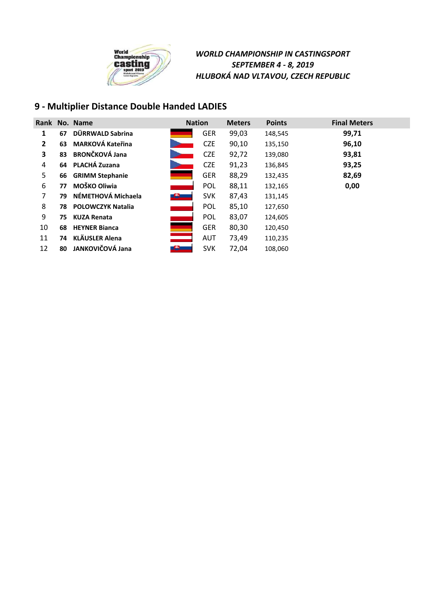

## **9 - Multiplier Distance Double Handed LADIES**

|                |    | Rank No. Name            | <b>Nation</b> |            | <b>Meters</b> | <b>Points</b> | <b>Final Meters</b> |
|----------------|----|--------------------------|---------------|------------|---------------|---------------|---------------------|
| 1              | 67 | DÜRRWALD Sabrina         |               | <b>GER</b> | 99,03         | 148,545       | 99,71               |
| $\overline{2}$ | 63 | <b>MARKOVÁ Kateřina</b>  |               | <b>CZE</b> | 90,10         | 135,150       | 96,10               |
| 3              | 83 | <b>BRONČKOVÁ Jana</b>    |               | <b>CZE</b> | 92,72         | 139,080       | 93,81               |
| 4              | 64 | PLACHÁ Zuzana            |               | <b>CZE</b> | 91,23         | 136,845       | 93,25               |
| 5              | 66 | <b>GRIMM Stephanie</b>   |               | <b>GER</b> | 88,29         | 132,435       | 82,69               |
| 6              | 77 | MOŠKO Oliwia             |               | <b>POL</b> | 88,11         | 132,165       | 0,00                |
| 7              | 79 | NÉMETHOVÁ Michaela       |               | <b>SVK</b> | 87,43         | 131,145       |                     |
| 8              | 78 | <b>POLOWCZYK Natalia</b> |               | <b>POL</b> | 85,10         | 127,650       |                     |
| 9              | 75 | <b>KUZA Renata</b>       |               | <b>POL</b> | 83,07         | 124,605       |                     |
| 10             | 68 | <b>HEYNER Bianca</b>     |               | <b>GER</b> | 80,30         | 120,450       |                     |
| 11             | 74 | <b>KLÄUSLER Alena</b>    |               | <b>AUT</b> | 73,49         | 110,235       |                     |
| 12             | 80 | JANKOVIČOVÁ Jana         |               | <b>SVK</b> | 72,04         | 108,060       |                     |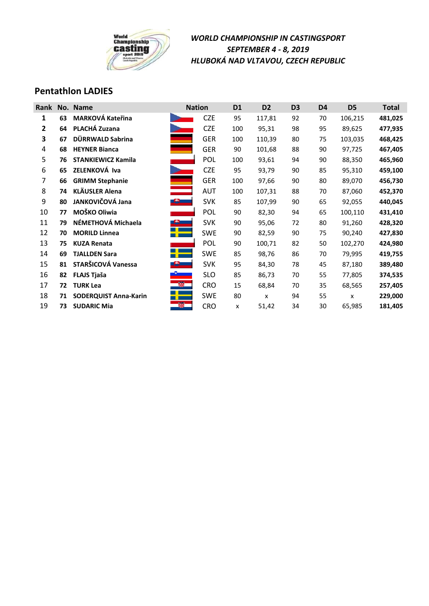

### **Pentathlon LADIES**

| Rank |    | No. Name                     |                | <b>Nation</b> | D <sub>1</sub> | D <sub>2</sub> | D <sub>3</sub> | D4 | D <sub>5</sub> | <b>Total</b> |
|------|----|------------------------------|----------------|---------------|----------------|----------------|----------------|----|----------------|--------------|
| 1    | 63 | <b>MARKOVÁ Kateřina</b>      |                | <b>CZE</b>    | 95             | 117,81         | 92             | 70 | 106,215        | 481,025      |
| 2    | 64 | PLACHÁ Zuzana                |                | <b>CZE</b>    | 100            | 95,31          | 98             | 95 | 89,625         | 477,935      |
| 3    | 67 | DÜRRWALD Sabrina             |                | <b>GER</b>    | 100            | 110,39         | 80             | 75 | 103,035        | 468,425      |
| 4    | 68 | <b>HEYNER Bianca</b>         |                | <b>GER</b>    | 90             | 101,68         | 88             | 90 | 97,725         | 467,405      |
| 5    | 76 | <b>STANKIEWICZ Kamila</b>    |                | <b>POL</b>    | 100            | 93,61          | 94             | 90 | 88,350         | 465,960      |
| 6    | 65 | ZELENKOVÁ Iva                |                | <b>CZE</b>    | 95             | 93,79          | 90             | 85 | 95,310         | 459,100      |
| 7    | 66 | <b>GRIMM Stephanie</b>       |                | <b>GER</b>    | 100            | 97,66          | 90             | 80 | 89,070         | 456,730      |
| 8    | 74 | <b>KLÄUSLER Alena</b>        |                | <b>AUT</b>    | 100            | 107,31         | 88             | 70 | 87,060         | 452,370      |
| 9    | 80 | JANKOVIČOVÁ Jana             | <b>FR.</b>     | <b>SVK</b>    | 85             | 107,99         | 90             | 65 | 92,055         | 440,045      |
| 10   | 77 | MOŠKO Oliwia                 |                | POL           | 90             | 82,30          | 94             | 65 | 100,110        | 431,410      |
| 11   | 79 | NÉMETHOVÁ Michaela           |                | <b>SVK</b>    | 90             | 95,06          | 72             | 80 | 91,260         | 428,320      |
| 12   | 70 | <b>MORILD Linnea</b>         |                | <b>SWE</b>    | 90             | 82,59          | 90             | 75 | 90,240         | 427,830      |
| 13   | 75 | <b>KUZA Renata</b>           |                | POL           | 90             | 100,71         | 82             | 50 | 102,270        | 424,980      |
| 14   | 69 | <b>TJALLDEN Sara</b>         |                | <b>SWE</b>    | 85             | 98,76          | 86             | 70 | 79,995         | 419,755      |
| 15   | 81 | STARŠICOVÁ Vanessa           |                | <b>SVK</b>    | 95             | 84,30          | 78             | 45 | 87,180         | 389,480      |
| 16   | 82 | <b>FLAJS Tjaša</b>           |                | <b>SLO</b>    | 85             | 86,73          | 70             | 55 | 77,805         | 374,535      |
| 17   | 72 | <b>TURK Lea</b>              | $\mathbb{R}^n$ | <b>CRO</b>    | 15             | 68,84          | 70             | 35 | 68,565         | 257,405      |
| 18   | 71 | <b>SODERQUIST Anna-Karin</b> |                | <b>SWE</b>    | 80             | x              | 94             | 55 | X              | 229,000      |
| 19   | 73 | <b>SUDARIC Mia</b>           | 缀              | <b>CRO</b>    | x              | 51,42          | 34             | 30 | 65,985         | 181,405      |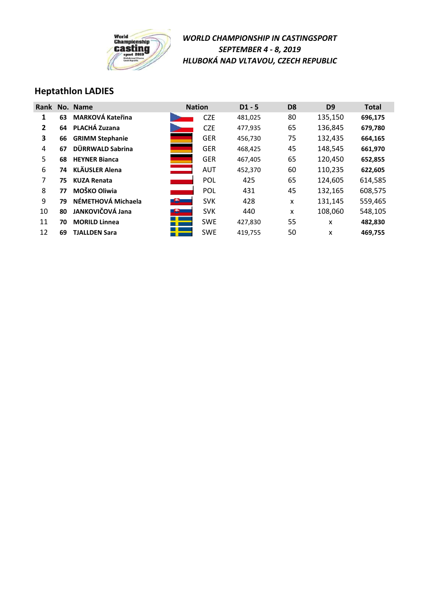

### **Heptathlon LADIES**

| <b>Rank</b>    |    | No. Name                |               | <b>Nation</b> | $D1 - 5$ | D <sub>8</sub> | D <sub>9</sub> | <b>Total</b> |
|----------------|----|-------------------------|---------------|---------------|----------|----------------|----------------|--------------|
| 1              | 63 | <b>MARKOVÁ Kateřina</b> |               | <b>CZE</b>    | 481,025  | 80             | 135,150        | 696,175      |
| $\overline{2}$ | 64 | PLACHÁ Zuzana           |               | <b>CZE</b>    | 477,935  | 65             | 136,845        | 679,780      |
| 3              | 66 | <b>GRIMM Stephanie</b>  |               | <b>GER</b>    | 456,730  | 75             | 132,435        | 664,165      |
| 4              | 67 | DÜRRWALD Sabrina        |               | <b>GER</b>    | 468,425  | 45             | 148,545        | 661,970      |
| 5              | 68 | <b>HEYNER Bianca</b>    |               | <b>GER</b>    | 467,405  | 65             | 120,450        | 652,855      |
| 6              | 74 | <b>KLÄUSLER Alena</b>   | $\equiv$      | <b>AUT</b>    | 452,370  | 60             | 110,235        | 622,605      |
| 7              | 75 | <b>KUZA Renata</b>      |               | POL           | 425      | 65             | 124,605        | 614,585      |
| 8              | 77 | MOŠKO Oliwia            |               | POL           | 431      | 45             | 132,165        | 608,575      |
| 9              | 79 | NÉMETHOVÁ Michaela      | $\bigoplus$   | <b>SVK</b>    | 428      | X              | 131,145        | 559,465      |
| 10             | 80 | JANKOVIČOVÁ Jana        | <u> 19 - </u> | <b>SVK</b>    | 440      | X              | 108,060        | 548,105      |
| 11             | 70 | <b>MORILD Linnea</b>    |               | <b>SWE</b>    | 427,830  | 55             | x              | 482,830      |
| 12             | 69 | <b>TJALLDEN Sara</b>    |               | <b>SWE</b>    | 419,755  | 50             | x              | 469,755      |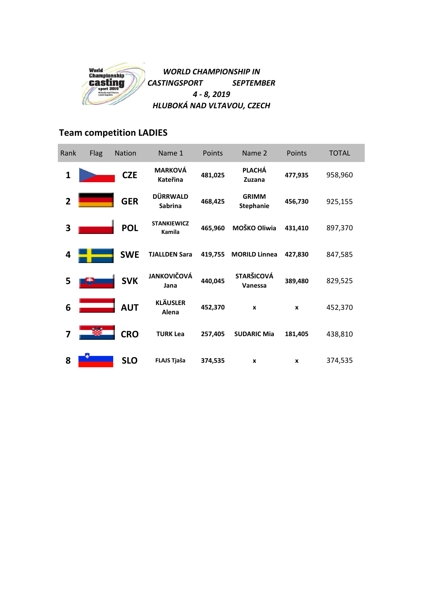

## **Team competition LADIES**

| Rank           | <b>Flag</b> | <b>Nation</b> | Name 1                            | Points  | Name 2                           | Points  | <b>TOTAL</b> |
|----------------|-------------|---------------|-----------------------------------|---------|----------------------------------|---------|--------------|
| $\mathbf{1}$   |             | <b>CZE</b>    | <b>MARKOVÁ</b><br>Kateřina        | 481,025 | <b>PLACHÁ</b><br>Zuzana          | 477,935 | 958,960      |
| $\overline{2}$ |             | <b>GER</b>    | <b>DÜRRWALD</b><br><b>Sabrina</b> | 468,425 | <b>GRIMM</b><br><b>Stephanie</b> | 456,730 | 925,155      |
| 3              |             | <b>POL</b>    | <b>STANKIEWICZ</b><br>Kamila      | 465,960 | MOŠKO Oliwia                     | 431,410 | 897,370      |
| 4              |             | <b>SWE</b>    | <b>TJALLDEN Sara</b>              | 419,755 | <b>MORILD Linnea</b>             | 427.830 | 847,585      |
| 5              |             | <b>SVK</b>    | <b>JANKOVIČOVÁ</b><br>Jana        | 440,045 | <b>STARŠICOVÁ</b><br>Vanessa     | 389,480 | 829,525      |
| 6              |             | <b>AUT</b>    | <b>KLÄUSLER</b><br>Alena          | 452,370 | $\boldsymbol{x}$                 | X       | 452,370      |
| 7              |             | <b>CRO</b>    | <b>TURK Lea</b>                   | 257,405 | <b>SUDARIC Mia</b>               | 181,405 | 438,810      |
| 8              |             | <b>SLO</b>    | FLAJS Tjaša                       | 374,535 | X                                | X       | 374,535      |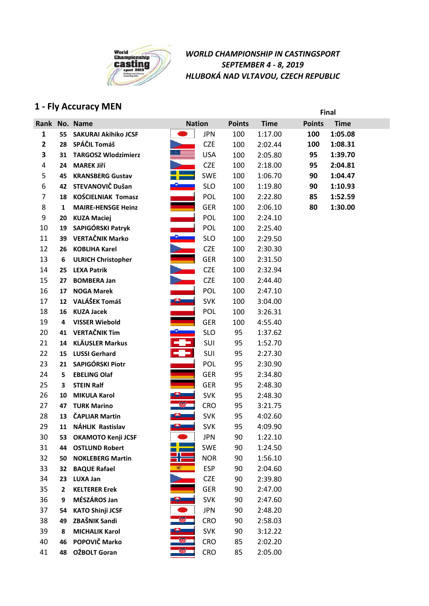

# **1 - Fly Accuracy MEN Final**

|                |              | Rank No. Name               | <b>Nation</b>            |            | <b>Points</b> | <b>Time</b> | <b>Points</b> | <b>Time</b> |
|----------------|--------------|-----------------------------|--------------------------|------------|---------------|-------------|---------------|-------------|
| 1              | 55           | <b>SAKURAI Akihiko JCSF</b> |                          | <b>JPN</b> | 100           | 1:17.00     | 100           | 1:05.08     |
| $\overline{2}$ | 28           | SPÁČIL Tomáš                |                          | <b>CZE</b> | 100           | 2:02.44     | 100           | 1:08.31     |
| 3              | 31           | <b>TARGOSZ Wlodzimierz</b>  |                          | <b>USA</b> | 100           | 2:05.80     | 95            | 1:39.70     |
| 4              | 24           | <b>MAREK Jiří</b>           |                          | <b>CZE</b> | 100           | 2:18.00     | 95            | 2:04.81     |
| 5              | 45           | <b>KRANSBERG Gustav</b>     |                          | <b>SWE</b> | 100           | 1:06.70     | 90            | 1:04.47     |
| 6              | 42           | STEVANOVIČ Dušan            |                          | <b>SLO</b> | 100           | 1:19.80     | 90            | 1:10.93     |
| $\overline{7}$ | 18           | <b>KOŚCIELNIAK Tomasz</b>   |                          | POL        | 100           | 2:22.80     | 85            | 1:52.59     |
| 8              | 1            | <b>MAIRE-HENSGE Heinz</b>   |                          | <b>GER</b> | 100           | 2:06.10     | 80            | 1:30.00     |
| 9              | 20           | <b>KUZA Maciej</b>          |                          | <b>POL</b> | 100           | 2:24.10     |               |             |
| 10             | 19           | SAPIGÓRSKI Patryk           |                          | <b>POL</b> | 100           | 2:25.40     |               |             |
| 11             | 39           | <b>VERTAČNIK Marko</b>      |                          | <b>SLO</b> | 100           | 2:29.50     |               |             |
| 12             | 26           | <b>KOBLIHA Karel</b>        |                          | <b>CZE</b> | 100           | 2:30.30     |               |             |
| 13             | 6            | <b>ULRICH Christopher</b>   |                          | <b>GER</b> | 100           | 2:31.50     |               |             |
| 14             | 25           | <b>LEXA Patrik</b>          |                          | <b>CZE</b> | 100           | 2:32.94     |               |             |
| 15             | 27           | <b>BOMBERA Jan</b>          |                          | <b>CZE</b> | 100           | 2:44.40     |               |             |
| 16             | 17           | <b>NOGA Marek</b>           |                          | POL        | 100           | 2:47.10     |               |             |
| 17             | 12           | VALÁŠEK Tomáš               | $\bullet$                | <b>SVK</b> | 100           | 3:04.00     |               |             |
| 18             | 16           | <b>KUZA Jacek</b>           |                          | POL        | 100           | 3:26.31     |               |             |
| 19             | 4            | <b>VISSER Wiebold</b>       |                          | <b>GER</b> | 100           | 4:55.40     |               |             |
| 20             | 41           | <b>VERTAČNIK Tim</b>        |                          | <b>SLO</b> | 95            | 1:37.62     |               |             |
| 21             | 14           | <b>KLÄUSLER Markus</b>      | -9-                      | SUI        | 95            | 1:52.70     |               |             |
| 22             | 15           | <b>LUSSI Gerhard</b>        | ÷                        | SUI        | 95            | 2:27.30     |               |             |
| 23             | 21           | SAPIGÓRSKI Piotr            |                          | POL        | 95            | 2:30.90     |               |             |
| 24             | 5            | <b>EBELING Olaf</b>         |                          | <b>GER</b> | 95            | 2:34.80     |               |             |
| 25             | 3            | <b>STEIN Ralf</b>           |                          | <b>GER</b> | 95            | 2:48.30     |               |             |
| 26             | 10           | <b>MIKULA Karol</b>         |                          | <b>SVK</b> | 95            | 2:48.30     |               |             |
| 27             | 47           | <b>TURK Marino</b>          |                          | <b>CRO</b> | 95            | 3:21.75     |               |             |
| 28             | 13           | <b>ČAPLIAR Martin</b>       | $\bullet$ $\blacksquare$ | <b>SVK</b> | 95            | 4:02.60     |               |             |
| 29             | 11           | NÁHLIK Rastislav            |                          | <b>SVK</b> | 95            | 4:09.90     |               |             |
| 30             | 53.          | <b>OKAMOTO Kenji JCSF</b>   |                          | <b>JPN</b> | 90            | 1:22.10     |               |             |
| 31             |              | 44 OSTLUND Robert           |                          | <b>SWE</b> | 90            | 1:24.50     |               |             |
| 32             | 50           | <b>NOKLEBERG Martin</b>     |                          | <b>NOR</b> | 90            | 1:56.10     |               |             |
| 33             | 32           | <b>BAQUE Rafael</b>         | 327                      | <b>ESP</b> | 90            | 2:04.60     |               |             |
| 34             | 23           | <b>LUXA Jan</b>             |                          | <b>CZE</b> | 90            | 2:39.80     |               |             |
| 35             | $\mathbf{2}$ | <b>KELTERER Erek</b>        |                          | <b>GER</b> | 90            | 2:47.00     |               |             |
| 36             | 9            | MÉSZÁROS Jan                |                          | <b>SVK</b> | 90            | 2:47.60     |               |             |
| 37             | 54           | <b>KATO Shinji JCSF</b>     |                          | <b>JPN</b> | 90            | 2:48.20     |               |             |
| 38             | 49           | ZBAŠNIK Sandi               |                          | <b>CRO</b> | 90            | 2:58.03     |               |             |
| 39             | 8            | <b>MICHALIK Karol</b>       |                          | <b>SVK</b> | 90            | 3:12.22     |               |             |
| 40             | 46           | POPOVIČ Marko               |                          | <b>CRO</b> | 85            | 2:02.20     |               |             |
| 41             | 48           | <b>OŽBOLT Goran</b>         |                          | <b>CRO</b> | 85            | 2:05.00     |               |             |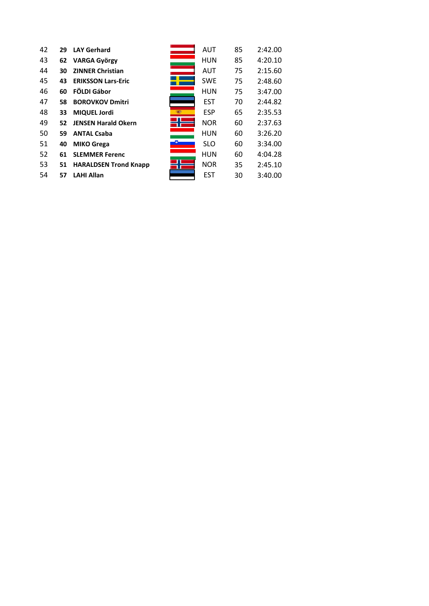| 42 | 29 | <b>LAY Gerhard</b>           | AUT        | 85 | 2:42.00 |
|----|----|------------------------------|------------|----|---------|
| 43 | 62 | <b>VARGA György</b>          | <b>HUN</b> | 85 | 4:20.10 |
| 44 | 30 | <b>ZINNER Christian</b>      | <b>AUT</b> | 75 | 2:15.60 |
| 45 | 43 | <b>ERIKSSON Lars-Eric</b>    | <b>SWE</b> | 75 | 2:48.60 |
| 46 | 60 | FÖLDI Gábor                  | <b>HUN</b> | 75 | 3:47.00 |
| 47 | 58 | <b>BOROVKOV Dmitri</b>       | <b>EST</b> | 70 | 2:44.82 |
| 48 | 33 | <b>MIQUEL Jordi</b>          | <b>ESP</b> | 65 | 2:35.53 |
| 49 | 52 | <b>JENSEN Harald Okern</b>   | <b>NOR</b> | 60 | 2:37.63 |
| 50 | 59 | <b>ANTAL Csaba</b>           | <b>HUN</b> | 60 | 3:26.20 |
| 51 | 40 | <b>MIKO Grega</b>            | <b>SLO</b> | 60 | 3:34.00 |
| 52 | 61 | <b>SLEMMER Ferenc</b>        | <b>HUN</b> | 60 | 4:04.28 |
| 53 | 51 | <b>HARALDSEN Trond Knapp</b> | <b>NOR</b> | 35 | 2:45.10 |
| 54 | 57 | <b>LAHI Allan</b>            | <b>EST</b> | 30 | 3:40.00 |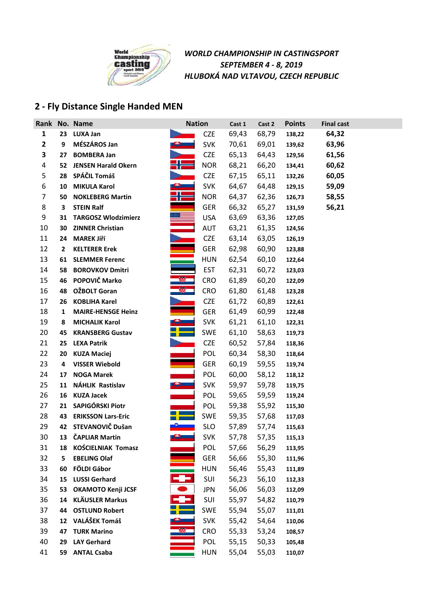

## **2 - Fly Distance Single Handed MEN**

|                |                  | Rank No. Name              | <b>Nation</b> |            | Cast 1 | Cast 2 | <b>Points</b> | <b>Final cast</b> |  |
|----------------|------------------|----------------------------|---------------|------------|--------|--------|---------------|-------------------|--|
| $\mathbf{1}$   | 23               | <b>LUXA Jan</b>            |               | <b>CZE</b> | 69,43  | 68,79  | 138,22        | 64,32             |  |
| $\mathbf{2}$   | 9                | MÉSZÁROS Jan               |               | <b>SVK</b> | 70,61  | 69,01  | 139,62        | 63,96             |  |
| 3              | 27               | <b>BOMBERA Jan</b>         |               | <b>CZE</b> | 65,13  | 64,43  | 129,56        | 61,56             |  |
| 4              | 52               | <b>JENSEN Harald Okern</b> |               | <b>NOR</b> | 68,21  | 66,20  | 134,41        | 60,62             |  |
| 5              | 28               | SPÁČIL Tomáš               |               | <b>CZE</b> | 67,15  | 65,11  | 132,26        | 60,05             |  |
| 6              | 10               | <b>MIKULA Karol</b>        |               | <b>SVK</b> | 64,67  | 64,48  | 129,15        | 59,09             |  |
| $\overline{7}$ | 50               | <b>NOKLEBERG Martin</b>    |               | <b>NOR</b> | 64,37  | 62,36  | 126,73        | 58,55             |  |
| 8              | 3                | <b>STEIN Ralf</b>          |               | <b>GER</b> | 66,32  | 65,27  | 131,59        | 56,21             |  |
| 9              | 31               | <b>TARGOSZ Wlodzimierz</b> |               | <b>USA</b> | 63,69  | 63,36  | 127,05        |                   |  |
| 10             | 30               | <b>ZINNER Christian</b>    |               | AUT        | 63,21  | 61,35  | 124,56        |                   |  |
| 11             | 24               | <b>MAREK Jiří</b>          |               | <b>CZE</b> | 63,14  | 63,05  | 126,19        |                   |  |
| 12             | $\overline{2}$   | <b>KELTERER Erek</b>       |               | GER        | 62,98  | 60,90  | 123,88        |                   |  |
| 13             | 61               | <b>SLEMMER Ferenc</b>      |               | <b>HUN</b> | 62,54  | 60,10  | 122,64        |                   |  |
| 14             | 58               | <b>BOROVKOV Dmitri</b>     |               | <b>EST</b> | 62,31  | 60,72  | 123,03        |                   |  |
| 15             | 46               | POPOVIČ Marko              |               | <b>CRO</b> | 61,89  | 60,20  | 122,09        |                   |  |
| 16             | 48               | OŽBOLT Goran               |               | <b>CRO</b> | 61,80  | 61,48  | 123,28        |                   |  |
| 17             | 26               | <b>KOBLIHA Karel</b>       |               | <b>CZE</b> | 61,72  | 60,89  | 122,61        |                   |  |
| 18             | 1                | <b>MAIRE-HENSGE Heinz</b>  |               | <b>GER</b> | 61,49  | 60,99  | 122,48        |                   |  |
| 19             | 8                | <b>MICHALIK Karol</b>      |               | <b>SVK</b> | 61,21  | 61,10  | 122,31        |                   |  |
| 20             | 45               | <b>KRANSBERG Gustav</b>    |               | <b>SWE</b> | 61,10  | 58,63  | 119,73        |                   |  |
| 21             | 25               | <b>LEXA Patrik</b>         |               | <b>CZE</b> | 60,52  | 57,84  | 118,36        |                   |  |
| 22             | 20               | <b>KUZA Maciej</b>         |               | POL        | 60,34  | 58,30  | 118,64        |                   |  |
| 23             | 4                | <b>VISSER Wiebold</b>      |               | <b>GER</b> | 60,19  | 59,55  | 119,74        |                   |  |
| 24             | 17               | <b>NOGA Marek</b>          |               | POL        | 60,00  | 58,12  | 118,12        |                   |  |
| 25             | 11               | NÁHLIK Rastislav           |               | <b>SVK</b> | 59,97  | 59,78  | 119,75        |                   |  |
| 26             | 16               | <b>KUZA Jacek</b>          |               | POL        | 59,65  | 59,59  | 119,24        |                   |  |
| 27             | 21               | SAPIGÓRSKI Piotr           |               | POL        | 59,38  | 55,92  | 115,30        |                   |  |
| 28             | 43               | <b>ERIKSSON Lars-Eric</b>  |               | <b>SWE</b> | 59,35  | 57,68  | 117,03        |                   |  |
| 29             | 42               | STEVANOVIČ Dušan           |               | <b>SLO</b> | 57,89  | 57,74  | 115,63        |                   |  |
| 30             | 13               | <b>ČAPLIAR Martin</b>      |               | <b>SVK</b> | 57,78  | 57,35  | 115,13        |                   |  |
| 31             | 18               | <b>KOŚCIELNIAK Tomasz</b>  |               | POL        | 57,66  | 56,29  | 113,95        |                   |  |
| 32             | 5                | <b>EBELING Olaf</b>        |               | <b>GER</b> | 56,66  | 55,30  | 111,96        |                   |  |
| 33             | 60               | FÖLDI Gábor                |               | <b>HUN</b> | 56,46  | 55,43  | 111,89        |                   |  |
| 34             | 15               | <b>LUSSI Gerhard</b>       |               | SUI        | 56,23  | 56,10  | 112,33        |                   |  |
| 35             | 53               | <b>OKAMOTO Kenji JCSF</b>  |               | <b>JPN</b> | 56,06  | 56,03  | 112,09        |                   |  |
| 36             | 14               | <b>KLÄUSLER Markus</b>     |               | SUI        | 55,97  | 54,82  | 110,79        |                   |  |
| 37             | 44               | <b>OSTLUND Robert</b>      |               | SWE        | 55,94  | 55,07  | 111,01        |                   |  |
| 38             | 12 <sup>12</sup> | VALÁŠEK Tomáš              |               | <b>SVK</b> | 55,42  | 54,64  | 110,06        |                   |  |
| 39             | 47               | <b>TURK Marino</b>         |               | <b>CRO</b> | 55,33  | 53,24  | 108,57        |                   |  |
| 40             | 29               | <b>LAY Gerhard</b>         |               | POL        | 55,15  | 50,33  | 105,48        |                   |  |
| 41             | 59               | <b>ANTAL Csaba</b>         |               | <b>HUN</b> | 55,04  | 55,03  | 110,07        |                   |  |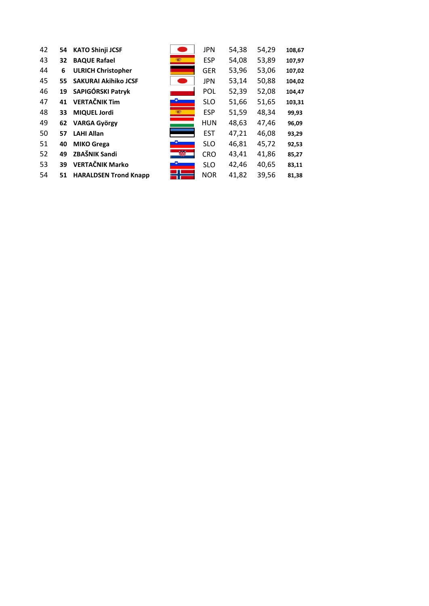| 42 | 54 | <b>KATO Shinji JCSF</b>      |            | <b>JPN</b> | 54,38 | 54,29 | 108,67 |
|----|----|------------------------------|------------|------------|-------|-------|--------|
| 43 | 32 | <b>BAQUE Rafael</b>          | <b>SEC</b> | <b>ESP</b> | 54,08 | 53,89 | 107,97 |
| 44 | 6  | <b>ULRICH Christopher</b>    |            | <b>GER</b> | 53,96 | 53,06 | 107,02 |
| 45 | 55 | <b>SAKURAI Akihiko JCSF</b>  |            | <b>JPN</b> | 53,14 | 50,88 | 104,02 |
| 46 | 19 | SAPIGÓRSKI Patryk            |            | <b>POL</b> | 52,39 | 52,08 | 104,47 |
| 47 | 41 | <b>VERTAČNIK Tim</b>         |            | <b>SLO</b> | 51,66 | 51,65 | 103,31 |
| 48 | 33 | MIQUEL Jordi                 |            | <b>ESP</b> | 51,59 | 48,34 | 99,93  |
| 49 | 62 | <b>VARGA György</b>          |            | <b>HUN</b> | 48,63 | 47,46 | 96,09  |
| 50 | 57 | <b>LAHI Allan</b>            |            | <b>EST</b> | 47,21 | 46,08 | 93,29  |
| 51 | 40 | <b>MIKO Grega</b>            |            | <b>SLO</b> | 46,81 | 45,72 | 92,53  |
| 52 | 49 | ZBAŠNIK Sandi                | æ.         | <b>CRO</b> | 43,41 | 41,86 | 85,27  |
| 53 | 39 | <b>VERTAČNIK Marko</b>       |            | <b>SLO</b> | 42,46 | 40,65 | 83,11  |
| 54 | 51 | <b>HARALDSEN Trond Knapp</b> |            | <b>NOR</b> | 41,82 | 39,56 | 81,38  |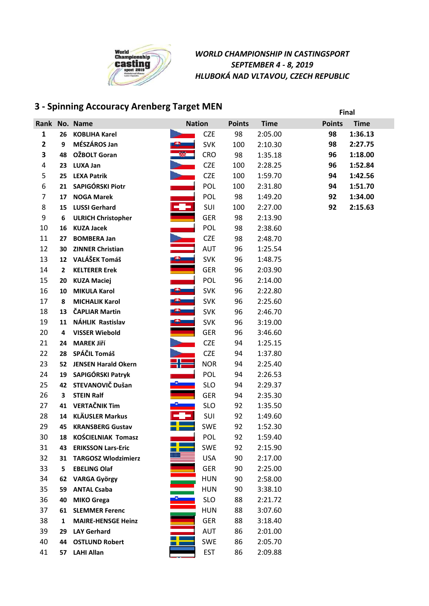

# **3 - Spinning Accouracy Arenberg Target MEN Final**

|                         |    | Rank No. Name              |    | <b>Nation</b> | <b>Points</b> | <b>Time</b> | <b>Points</b> | <b>Time</b> |
|-------------------------|----|----------------------------|----|---------------|---------------|-------------|---------------|-------------|
| $\mathbf{1}$            | 26 | <b>KOBLIHA Karel</b>       |    | <b>CZE</b>    | 98            | 2:05.00     | 98            | 1:36.13     |
| $\mathbf{2}$            | 9  | MÉSZÁROS Jan               |    | <b>SVK</b>    | 100           | 2:10.30     | 98            | 2:27.75     |
| 3                       | 48 | OŽBOLT Goran               |    | <b>CRO</b>    | 98            | 1:35.18     | 96            | 1:18.00     |
| $\overline{\mathbf{4}}$ | 23 | <b>LUXA Jan</b>            |    | <b>CZE</b>    | 100           | 2:28.25     | 96            | 1:52.84     |
| 5                       | 25 | <b>LEXA Patrik</b>         |    | <b>CZE</b>    | 100           | 1:59.70     | 94            | 1:42.56     |
| 6                       | 21 | SAPIGÓRSKI Piotr           |    | POL           | 100           | 2:31.80     | 94            | 1:51.70     |
| $\overline{7}$          | 17 | <b>NOGA Marek</b>          |    | <b>POL</b>    | 98            | 1:49.20     | 92            | 1:34.00     |
| 8                       | 15 | <b>LUSSI Gerhard</b>       |    | SUI           | 100           | 2:27.00     | 92            | 2:15.63     |
| 9                       | 6  | <b>ULRICH Christopher</b>  |    | <b>GER</b>    | 98            | 2:13.90     |               |             |
| 10                      | 16 | <b>KUZA Jacek</b>          |    | POL           | 98            | 2:38.60     |               |             |
| 11                      | 27 | <b>BOMBERA Jan</b>         |    | <b>CZE</b>    | 98            | 2:48.70     |               |             |
| 12                      | 30 | <b>ZINNER Christian</b>    |    | AUT           | 96            | 1:25.54     |               |             |
| 13                      | 12 | VALÁŠEK Tomáš              | 9. | <b>SVK</b>    | 96            | 1:48.75     |               |             |
| 14                      | 2  | <b>KELTERER Erek</b>       |    | <b>GER</b>    | 96            | 2:03.90     |               |             |
| 15                      | 20 | <b>KUZA Maciej</b>         |    | <b>POL</b>    | 96            | 2:14.00     |               |             |
| 16                      | 10 | <b>MIKULA Karol</b>        | 8  | <b>SVK</b>    | 96            | 2:22.80     |               |             |
| 17                      | 8  | <b>MICHALIK Karol</b>      |    | <b>SVK</b>    | 96            | 2:25.60     |               |             |
| 18                      | 13 | <b>ČAPLIAR Martin</b>      | உ  | <b>SVK</b>    | 96            | 2:46.70     |               |             |
| 19                      | 11 | NÁHLIK Rastislav           |    | <b>SVK</b>    | 96            | 3:19.00     |               |             |
| 20                      | 4  | <b>VISSER Wiebold</b>      |    | <b>GER</b>    | 96            | 3:46.60     |               |             |
| 21                      | 24 | <b>MAREK Jiří</b>          |    | <b>CZE</b>    | 94            | 1:25.15     |               |             |
| 22                      | 28 | SPÁČIL Tomáš               |    | <b>CZE</b>    | 94            | 1:37.80     |               |             |
| 23                      | 52 | <b>JENSEN Harald Okern</b> |    | <b>NOR</b>    | 94            | 2:25.40     |               |             |
| 24                      | 19 | SAPIGÓRSKI Patryk          |    | POL           | 94            | 2:26.53     |               |             |
| 25                      | 42 | STEVANOVIČ Dušan           |    | <b>SLO</b>    | 94            | 2:29.37     |               |             |
| 26                      | 3  | <b>STEIN Ralf</b>          |    | <b>GER</b>    | 94            | 2:35.30     |               |             |
| 27                      | 41 | <b>VERTAČNIK Tim</b>       |    | <b>SLO</b>    | 92            | 1:35.50     |               |             |
| 28                      | 14 | <b>KLÄUSLER Markus</b>     |    | SUI           | 92            | 1:49.60     |               |             |
| 29                      | 45 | <b>KRANSBERG Gustav</b>    |    | <b>SWE</b>    | 92            | 1:52.30     |               |             |
| 30                      | 18 | <b>KOŚCIELNIAK Tomasz</b>  |    | POL           | 92            | 1:59.40     |               |             |
| 31                      | 43 | <b>ERIKSSON Lars-Eric</b>  |    | <b>SWE</b>    | 92            | 2:15.90     |               |             |
| 32                      | 31 | <b>TARGOSZ Wlodzimierz</b> |    | <b>USA</b>    | 90            | 2:17.00     |               |             |
| 33                      | 5  | <b>EBELING Olaf</b>        |    | <b>GER</b>    | 90            | 2:25.00     |               |             |
| 34                      | 62 | <b>VARGA György</b>        |    | <b>HUN</b>    | 90            | 2:58.00     |               |             |
| 35                      | 59 | <b>ANTAL Csaba</b>         |    | <b>HUN</b>    | 90            | 3:38.10     |               |             |
| 36                      | 40 | <b>MIKO Grega</b>          |    | <b>SLO</b>    | 88            | 2:21.72     |               |             |
| 37                      | 61 | <b>SLEMMER Ferenc</b>      |    | <b>HUN</b>    | 88            | 3:07.60     |               |             |
| 38                      | 1  | <b>MAIRE-HENSGE Heinz</b>  |    | <b>GER</b>    | 88            | 3:18.40     |               |             |
| 39                      | 29 | <b>LAY Gerhard</b>         |    | AUT           | 86            | 2:01.00     |               |             |
| 40                      | 44 | <b>OSTLUND Robert</b>      |    | <b>SWE</b>    | 86            | 2:05.70     |               |             |
| 41                      | 57 | <b>LAHI Allan</b>          |    | <b>EST</b>    | 86            | 2:09.88     |               |             |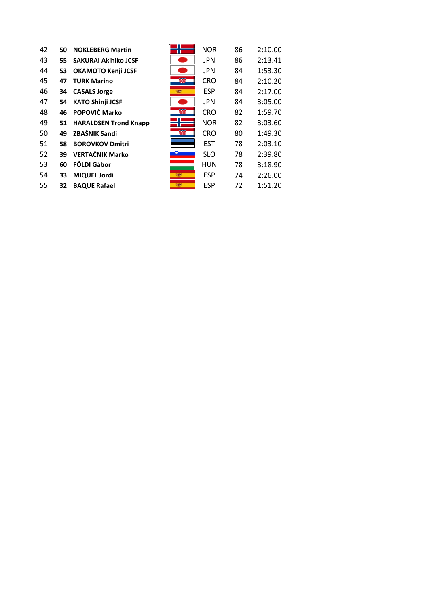| 42 | 50 | <b>NOKLEBERG Martin</b>      |             | <b>NOR</b> | 86 | 2:10.00 |
|----|----|------------------------------|-------------|------------|----|---------|
| 43 | 55 | <b>SAKURAI Akihiko JCSF</b>  |             | <b>JPN</b> | 86 | 2:13.41 |
| 44 | 53 | <b>OKAMOTO Kenji JCSF</b>    |             | <b>JPN</b> | 84 | 1:53.30 |
| 45 | 47 | <b>TURK Marino</b>           | 靀           | <b>CRO</b> | 84 | 2:10.20 |
| 46 | 34 | <b>CASALS Jorge</b>          | <b>SERV</b> | <b>ESP</b> | 84 | 2:17.00 |
| 47 | 54 | <b>KATO Shinji JCSF</b>      |             | <b>JPN</b> | 84 | 3:05.00 |
| 48 | 46 | POPOVIČ Marko                |             | <b>CRO</b> | 82 | 1:59.70 |
| 49 | 51 | <b>HARALDSEN Trond Knapp</b> |             | <b>NOR</b> | 82 | 3:03.60 |
| 50 | 49 | ZBAŠNIK Sandi                | w           | <b>CRO</b> | 80 | 1:49.30 |
| 51 | 58 | <b>BOROVKOV Dmitri</b>       |             | <b>EST</b> | 78 | 2:03.10 |
| 52 | 39 | <b>VERTAČNIK Marko</b>       |             | <b>SLO</b> | 78 | 2:39.80 |
| 53 | 60 | FÖLDI Gábor                  |             | <b>HUN</b> | 78 | 3:18.90 |
| 54 | 33 | <b>MIQUEL Jordi</b>          | <b>Read</b> | <b>ESP</b> | 74 | 2:26.00 |
| 55 | 32 | <b>BAQUE Rafael</b>          | <b>REAT</b> | <b>ESP</b> | 72 | 1:51.20 |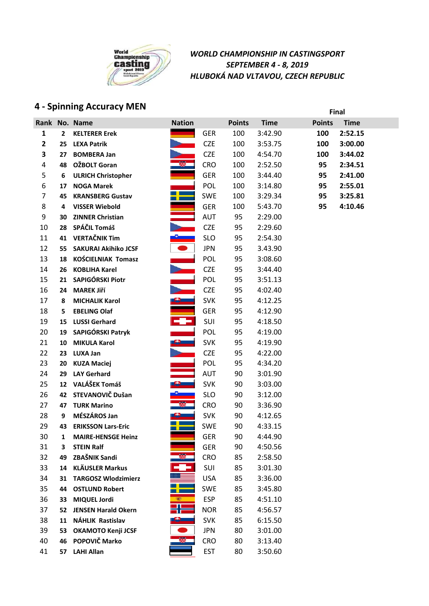

## **4 - Spinning Accuracy MEN Final**

| Rank         |                | No. Name                    | <b>Nation</b> |            | <b>Points</b> | <b>Time</b> | <b>Points</b> | <b>Time</b> |
|--------------|----------------|-----------------------------|---------------|------------|---------------|-------------|---------------|-------------|
| $\mathbf{1}$ | $\overline{2}$ | <b>KELTERER Erek</b>        |               | <b>GER</b> | 100           | 3:42.90     | 100           | 2:52.15     |
| $\mathbf{2}$ | 25             | <b>LEXA Patrik</b>          |               | <b>CZE</b> | 100           | 3:53.75     | 100           | 3:00.00     |
| 3            | 27             | <b>BOMBERA Jan</b>          |               | <b>CZE</b> | 100           | 4:54.70     | 100           | 3:44.02     |
| 4            | 48             | <b>OŽBOLT Goran</b>         |               | <b>CRO</b> | 100           | 2:52.50     | 95            | 2:34.51     |
| 5            | 6              | <b>ULRICH Christopher</b>   |               | <b>GER</b> | 100           | 3:44.40     | 95            | 2:41.00     |
| 6            | 17             | <b>NOGA Marek</b>           |               | POL        | 100           | 3:14.80     | 95            | 2:55.01     |
| 7            | 45             | <b>KRANSBERG Gustav</b>     |               | <b>SWE</b> | 100           | 3:29.34     | 95            | 3:25.81     |
| 8            | 4              | <b>VISSER Wiebold</b>       |               | <b>GER</b> | 100           | 5:43.70     | 95            | 4:10.46     |
| 9            | 30             | <b>ZINNER Christian</b>     |               | AUT        | 95            | 2:29.00     |               |             |
| 10           | 28             | SPÁČIL Tomáš                |               | <b>CZE</b> | 95            | 2:29.60     |               |             |
| 11           | 41             | <b>VERTAČNIK Tim</b>        |               | <b>SLO</b> | 95            | 2:54.30     |               |             |
| 12           | 55             | <b>SAKURAI Akihiko JCSF</b> |               | <b>JPN</b> | 95            | 3.43.90     |               |             |
| 13           | 18             | <b>KOŚCIELNIAK Tomasz</b>   |               | POL        | 95            | 3:08.60     |               |             |
| 14           | 26             | <b>KOBLIHA Karel</b>        |               | <b>CZE</b> | 95            | 3:44.40     |               |             |
| 15           | 21             | SAPIGÓRSKI Piotr            |               | POL        | 95            | 3:51.13     |               |             |
| 16           | 24             | <b>MAREK Jiří</b>           |               | <b>CZE</b> | 95            | 4:02.40     |               |             |
| 17           | 8              | <b>MICHALIK Karol</b>       |               | <b>SVK</b> | 95            | 4:12.25     |               |             |
| 18           | 5              | <b>EBELING Olaf</b>         |               | <b>GER</b> | 95            | 4:12.90     |               |             |
| 19           | 15             | <b>LUSSI Gerhard</b>        | ╼█╾           | SUI        | 95            | 4:18.50     |               |             |
| 20           | 19             | SAPIGÓRSKI Patryk           |               | POL        | 95            | 4:19.00     |               |             |
| 21           | 10             | <b>MIKULA Karol</b>         |               | <b>SVK</b> | 95            | 4:19.90     |               |             |
| 22           | 23             | <b>LUXA Jan</b>             |               | <b>CZE</b> | 95            | 4:22.00     |               |             |
| 23           | 20             | <b>KUZA Maciej</b>          |               | POL        | 95            | 4:34.20     |               |             |
| 24           | 29             | <b>LAY Gerhard</b>          |               | <b>AUT</b> | 90            | 3:01.90     |               |             |
| 25           | 12             | VALÁŠEK Tomáš               |               | <b>SVK</b> | 90            | 3:03.00     |               |             |
| 26           | 42             | STEVANOVIČ Dušan            |               | <b>SLO</b> | 90            | 3:12.00     |               |             |
| 27           | 47             | <b>TURK Marino</b>          |               | <b>CRO</b> | 90            | 3:36.90     |               |             |
| 28           | 9              | MÉSZÁROS Jan                |               | <b>SVK</b> | 90            | 4:12.65     |               |             |
| 29           | 43             | <b>ERIKSSON Lars-Eric</b>   |               | <b>SWE</b> | 90            | 4:33.15     |               |             |
| 30           | $\mathbf{1}$   | <b>MAIRE-HENSGE Heinz</b>   |               | <b>GER</b> | 90            | 4:44.90     |               |             |
| 31           | 3              | <b>STEIN Ralf</b>           |               | <b>GER</b> | 90            | 4:50.56     |               |             |
| 32           | 49             | ZBAŠNIK Sandi               |               | <b>CRO</b> | 85            | 2:58.50     |               |             |
| 33           | 14             | <b>KLÄUSLER Markus</b>      |               | SUI        | 85            | 3:01.30     |               |             |
| 34           | 31             | <b>TARGOSZ Wlodzimierz</b>  |               | <b>USA</b> | 85            | 3:36.00     |               |             |
| 35           | 44             | <b>OSTLUND Robert</b>       |               | SWE        | 85            | 3:45.80     |               |             |
| 36           | 33             | <b>MIQUEL Jordi</b>         |               | <b>ESP</b> | 85            | 4:51.10     |               |             |
| 37           | 52             | <b>JENSEN Harald Okern</b>  |               | <b>NOR</b> | 85            | 4:56.57     |               |             |
| 38           | 11             | NÁHLIK Rastislav            |               | <b>SVK</b> | 85            | 6:15.50     |               |             |
| 39           | 53             | <b>OKAMOTO Kenji JCSF</b>   |               | <b>JPN</b> | 80            | 3:01.00     |               |             |
| 40           | 46             | POPOVIČ Marko               |               | <b>CRO</b> | 80            | 3:13.40     |               |             |
| 41           | 57             | <b>LAHI Allan</b>           |               | <b>EST</b> | 80            | 3:50.60     |               |             |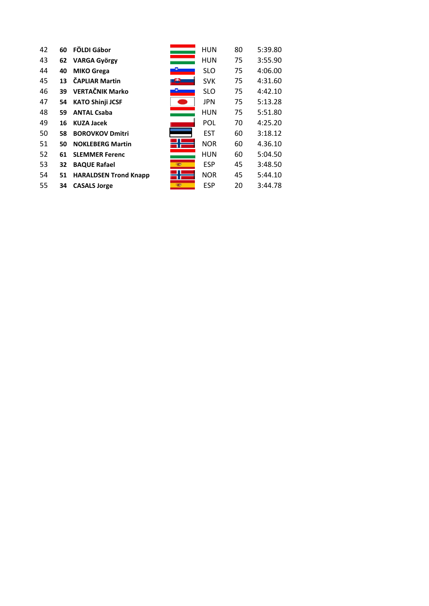| 42 | 60 | FÖLDI Gábor                  |             | <b>HUN</b> | 80 | 5:39.80 |
|----|----|------------------------------|-------------|------------|----|---------|
| 43 | 62 | <b>VARGA György</b>          |             | HUN        | 75 | 3:55.90 |
| 44 | 40 | <b>MIKO Grega</b>            |             | <b>SLO</b> | 75 | 4:06.00 |
| 45 | 13 | <b>ČAPLIAR Martin</b>        |             | <b>SVK</b> | 75 | 4:31.60 |
| 46 | 39 | <b>VERTAČNIK Marko</b>       |             | <b>SLO</b> | 75 | 4:42.10 |
| 47 | 54 | <b>KATO Shinji JCSF</b>      |             | <b>JPN</b> | 75 | 5:13.28 |
| 48 | 59 | <b>ANTAL Csaba</b>           |             | <b>HUN</b> | 75 | 5:51.80 |
| 49 | 16 | <b>KUZA Jacek</b>            |             | <b>POL</b> | 70 | 4:25.20 |
| 50 | 58 | <b>BOROVKOV Dmitri</b>       |             | <b>EST</b> | 60 | 3:18.12 |
| 51 | 50 | <b>NOKLEBERG Martin</b>      |             | <b>NOR</b> | 60 | 4.36.10 |
| 52 | 61 | <b>SLEMMER Ferenc</b>        |             | <b>HUN</b> | 60 | 5:04.50 |
| 53 | 32 | <b>BAQUE Rafael</b>          | <b>REAL</b> | <b>ESP</b> | 45 | 3:48.50 |
| 54 | 51 | <b>HARALDSEN Trond Knapp</b> |             | <b>NOR</b> | 45 | 5:44.10 |
| 55 | 34 | <b>CASALS Jorge</b>          | <b>READ</b> | <b>ESP</b> | 20 | 3:44.78 |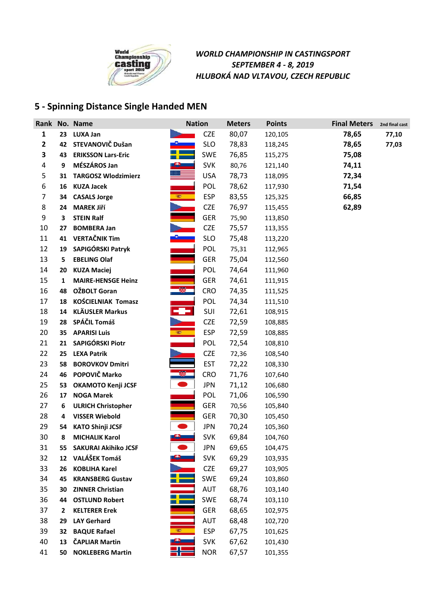

## **5 - Spinning Distance Single Handed MEN**

|              |    | Rank No. Name               | <b>Nation</b> |            | <b>Meters</b> | <b>Points</b> | <b>Final Meters</b> | 2nd final cast |
|--------------|----|-----------------------------|---------------|------------|---------------|---------------|---------------------|----------------|
| 1            |    | 23 LUXA Jan                 |               | <b>CZE</b> | 80,07         | 120,105       | 78,65               | 77,10          |
| $\mathbf{2}$ |    | 42 STEVANOVIČ Dušan         |               | <b>SLO</b> | 78,83         | 118,245       | 78,65               | 77,03          |
| 3            | 43 | <b>ERIKSSON Lars-Eric</b>   |               | <b>SWE</b> | 76,85         | 115,275       | 75,08               |                |
| 4            | 9  | MÉSZÁROS Jan                |               | <b>SVK</b> | 80,76         | 121,140       | 74,11               |                |
| 5            | 31 | <b>TARGOSZ Wlodzimierz</b>  |               | <b>USA</b> | 78,73         | 118,095       | 72,34               |                |
| 6            | 16 | <b>KUZA Jacek</b>           |               | POL        | 78,62         | 117,930       | 71,54               |                |
| 7            | 34 | <b>CASALS Jorge</b>         | <b>SEP 11</b> | <b>ESP</b> | 83,55         | 125,325       | 66,85               |                |
| 8            | 24 | <b>MAREK Jiří</b>           |               | <b>CZE</b> | 76,97         | 115,455       | 62,89               |                |
| 9            | 3  | <b>STEIN Ralf</b>           |               | <b>GER</b> | 75,90         | 113,850       |                     |                |
| 10           | 27 | <b>BOMBERA Jan</b>          |               | <b>CZE</b> | 75,57         | 113,355       |                     |                |
| 11           | 41 | <b>VERTAČNIK Tim</b>        |               | <b>SLO</b> | 75,48         | 113,220       |                     |                |
| 12           | 19 | SAPIGÓRSKI Patryk           |               | POL        | 75,31         | 112,965       |                     |                |
| 13           | 5  | <b>EBELING Olaf</b>         |               | <b>GER</b> | 75,04         | 112,560       |                     |                |
| 14           | 20 | <b>KUZA Maciej</b>          |               | POL        | 74,64         | 111,960       |                     |                |
| 15           | 1  | <b>MAIRE-HENSGE Heinz</b>   |               | <b>GER</b> | 74,61         | 111,915       |                     |                |
| 16           | 48 | OŽBOLT Goran                |               | <b>CRO</b> | 74,35         | 111,525       |                     |                |
| 17           | 18 | KOŚCIELNIAK Tomasz          |               | POL        | 74,34         | 111,510       |                     |                |
| 18           | 14 | <b>KLÄUSLER Markus</b>      | - 7           | SUI        | 72,61         | 108,915       |                     |                |
| 19           | 28 | SPÁČIL Tomáš                |               | <b>CZE</b> | 72,59         | 108,885       |                     |                |
| 20           | 35 | <b>APARISI Luis</b>         | <b>SEPTE</b>  | <b>ESP</b> | 72,59         | 108,885       |                     |                |
| 21           | 21 | SAPIGÓRSKI Piotr            |               | POL        | 72,54         | 108,810       |                     |                |
| 22           | 25 | <b>LEXA Patrik</b>          |               | <b>CZE</b> | 72,36         | 108,540       |                     |                |
| 23           | 58 | <b>BOROVKOV Dmitri</b>      |               | <b>EST</b> | 72,22         | 108,330       |                     |                |
| 24           | 46 | POPOVIČ Marko               |               | <b>CRO</b> | 71,76         | 107,640       |                     |                |
| 25           | 53 | OKAMOTO Kenji JCSF          |               | <b>JPN</b> | 71,12         | 106,680       |                     |                |
| 26           | 17 | <b>NOGA Marek</b>           |               | POL        | 71,06         | 106,590       |                     |                |
| 27           | 6  | <b>ULRICH Christopher</b>   |               | <b>GER</b> | 70,56         | 105,840       |                     |                |
| 28           | 4  | <b>VISSER Wiebold</b>       |               | <b>GER</b> | 70,30         | 105,450       |                     |                |
| 29           | 54 | <b>KATO Shinji JCSF</b>     |               | <b>JPN</b> | 70,24         | 105,360       |                     |                |
| 30           | 8  | <b>MICHALIK Karol</b>       |               | <b>SVK</b> | 69,84         | 104,760       |                     |                |
| 31           | 55 | <b>SAKURAI Akihiko JCSF</b> |               | <b>JPN</b> | 69,65         | 104,475       |                     |                |
| 32           |    | 12 VALÁŠEK Tomáš            |               | <b>SVK</b> | 69,29         | 103,935       |                     |                |
| 33           | 26 | <b>KOBLIHA Karel</b>        |               | <b>CZE</b> | 69,27         | 103,905       |                     |                |
| 34           | 45 | <b>KRANSBERG Gustav</b>     |               | <b>SWE</b> | 69,24         | 103,860       |                     |                |
| 35           | 30 | <b>ZINNER Christian</b>     |               | AUT        | 68,76         | 103,140       |                     |                |
| 36           | 44 | <b>OSTLUND Robert</b>       |               | <b>SWE</b> | 68,74         | 103,110       |                     |                |
| 37           | 2  | <b>KELTERER Erek</b>        |               | GER        | 68,65         | 102,975       |                     |                |
| 38           | 29 | <b>LAY Gerhard</b>          |               | <b>AUT</b> | 68,48         | 102,720       |                     |                |
| 39           | 32 | <b>BAQUE Rafael</b>         |               | <b>ESP</b> | 67,75         | 101,625       |                     |                |
| 40           | 13 | <b>ČAPLIAR Martin</b>       |               | <b>SVK</b> | 67,62         | 101,430       |                     |                |
| 41           | 50 | <b>NOKLEBERG Martin</b>     |               | <b>NOR</b> | 67,57         | 101,355       |                     |                |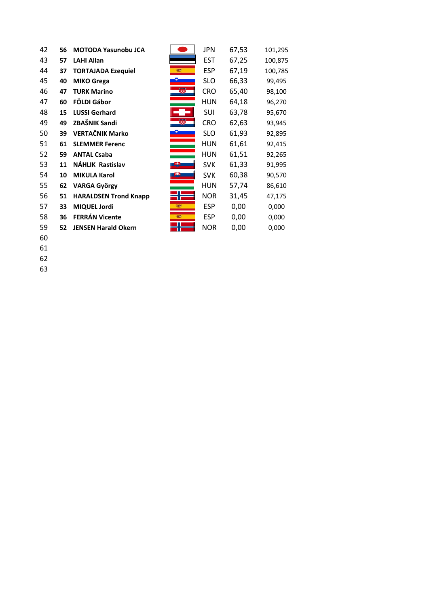| 42 | 56 | <b>MOTODA Yasunobu JCA</b>   |            | <b>JPN</b> | 67,53 | 101,295 |
|----|----|------------------------------|------------|------------|-------|---------|
| 43 | 57 | <b>LAHI Allan</b>            |            | <b>EST</b> | 67,25 | 100,875 |
| 44 | 37 | <b>TORTAJADA Ezequiel</b>    | <b>SER</b> | <b>ESP</b> | 67,19 | 100,785 |
| 45 | 40 | <b>MIKO Grega</b>            |            | <b>SLO</b> | 66,33 | 99,495  |
| 46 | 47 | <b>TURK Marino</b>           |            | <b>CRO</b> | 65,40 | 98,100  |
| 47 | 60 | FÖLDI Gábor                  |            | <b>HUN</b> | 64,18 | 96,270  |
| 48 | 15 | <b>LUSSI Gerhard</b>         |            | SUI        | 63,78 | 95,670  |
| 49 | 49 | ZBAŠNIK Sandi                |            | <b>CRO</b> | 62,63 | 93,945  |
| 50 | 39 | <b>VERTAČNIK Marko</b>       |            | <b>SLO</b> | 61,93 | 92,895  |
| 51 | 61 | <b>SLEMMER Ferenc</b>        |            | HUN        | 61,61 | 92,415  |
| 52 | 59 | <b>ANTAL Csaba</b>           |            | HUN        | 61,51 | 92,265  |
| 53 | 11 | <b>NÁHLIK Rastislav</b>      |            | <b>SVK</b> | 61,33 | 91,995  |
| 54 | 10 | <b>MIKULA Karol</b>          |            | <b>SVK</b> | 60,38 | 90,570  |
| 55 | 62 | <b>VARGA György</b>          |            | <b>HUN</b> | 57,74 | 86,610  |
| 56 | 51 | <b>HARALDSEN Trond Knapp</b> |            | <b>NOR</b> | 31,45 | 47,175  |
| 57 | 33 | <b>MIQUEL Jordi</b>          | 1927       | <b>ESP</b> | 0,00  | 0,000   |
| 58 | 36 | <b>FERRÁN Vicente</b>        | 1927       | <b>ESP</b> | 0,00  | 0,000   |
| 59 | 52 | <b>JENSEN Harald Okern</b>   |            | <b>NOR</b> | 0,00  | 0,000   |
|    |    |                              |            |            |       |         |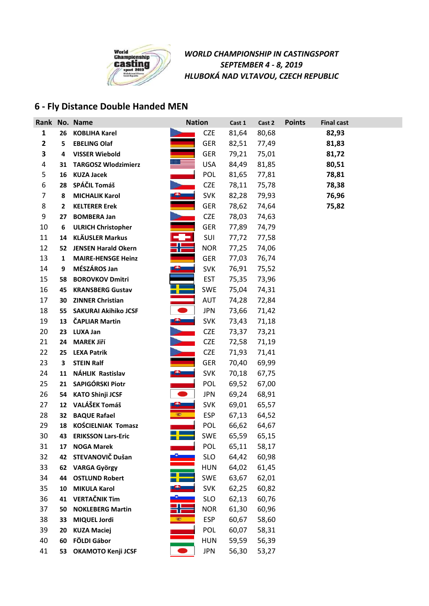

### **6 - Fly Distance Double Handed MEN**

| Rank |    | No. Name                    | <b>Nation</b>                                                                                                        |            | Cast 1 | Cast 2 | <b>Points</b> | <b>Final cast</b> |
|------|----|-----------------------------|----------------------------------------------------------------------------------------------------------------------|------------|--------|--------|---------------|-------------------|
| 1    | 26 | <b>KOBLIHA Karel</b>        |                                                                                                                      | <b>CZE</b> | 81,64  | 80,68  |               | 82,93             |
| 2    | 5  | <b>EBELING Olaf</b>         |                                                                                                                      | <b>GER</b> | 82,51  | 77,49  |               | 81,83             |
| 3    | 4  | <b>VISSER Wiebold</b>       |                                                                                                                      | <b>GER</b> | 79,21  | 75,01  |               | 81,72             |
| 4    | 31 | <b>TARGOSZ Wlodzimierz</b>  |                                                                                                                      | <b>USA</b> | 84,49  | 81,85  |               | 80,51             |
| 5    | 16 | <b>KUZA Jacek</b>           |                                                                                                                      | POL        | 81,65  | 77,81  |               | 78,81             |
| 6    | 28 | SPÁČIL Tomáš                |                                                                                                                      | <b>CZE</b> | 78,11  | 75,78  |               | 78,38             |
| 7    | 8  | <b>MICHALIK Karol</b>       |                                                                                                                      | <b>SVK</b> | 82,28  | 79,93  |               | 76,96             |
| 8    | 2  | <b>KELTERER Erek</b>        |                                                                                                                      | <b>GER</b> | 78,62  | 74,64  |               | 75,82             |
| 9    | 27 | <b>BOMBERA Jan</b>          |                                                                                                                      | <b>CZE</b> | 78,03  | 74,63  |               |                   |
| 10   | 6  | <b>ULRICH Christopher</b>   |                                                                                                                      | <b>GER</b> | 77,89  | 74,79  |               |                   |
| 11   |    | 14 KLÄUSLER Markus          |                                                                                                                      | SUI        | 77,72  | 77,58  |               |                   |
| 12   | 52 | <b>JENSEN Harald Okern</b>  |                                                                                                                      | <b>NOR</b> | 77,25  | 74,06  |               |                   |
| 13   | 1  | <b>MAIRE-HENSGE Heinz</b>   |                                                                                                                      | <b>GER</b> | 77,03  | 76,74  |               |                   |
| 14   | 9  | MÉSZÁROS Jan                |                                                                                                                      | <b>SVK</b> | 76,91  | 75,52  |               |                   |
| 15   | 58 | <b>BOROVKOV Dmitri</b>      |                                                                                                                      | <b>EST</b> | 75,35  | 73,96  |               |                   |
| 16   | 45 | <b>KRANSBERG Gustav</b>     |                                                                                                                      | <b>SWE</b> | 75,04  | 74,31  |               |                   |
| 17   | 30 | <b>ZINNER Christian</b>     |                                                                                                                      | <b>AUT</b> | 74,28  | 72,84  |               |                   |
| 18   | 55 | <b>SAKURAI Akihiko JCSF</b> | $\bullet$                                                                                                            | <b>JPN</b> | 73,66  | 71,42  |               |                   |
| 19   |    | 13 ČAPLIAR Martin           |                                                                                                                      | <b>SVK</b> | 73,43  | 71,18  |               |                   |
| 20   | 23 | <b>LUXA Jan</b>             |                                                                                                                      | <b>CZE</b> | 73,37  | 73,21  |               |                   |
| 21   | 24 | <b>MAREK Jiří</b>           |                                                                                                                      | <b>CZE</b> | 72,58  | 71,19  |               |                   |
| 22   | 25 | <b>LEXA Patrik</b>          |                                                                                                                      | <b>CZE</b> | 71,93  | 71,41  |               |                   |
| 23   | 3  | <b>STEIN Ralf</b>           |                                                                                                                      | <b>GER</b> | 70,40  | 69,99  |               |                   |
| 24   | 11 | <b>NÁHLIK Rastislav</b>     |                                                                                                                      | <b>SVK</b> | 70,18  | 67,75  |               |                   |
| 25   | 21 | SAPIGÓRSKI Piotr            |                                                                                                                      | POL        | 69,52  | 67,00  |               |                   |
| 26   | 54 | <b>KATO Shinji JCSF</b>     |                                                                                                                      | <b>JPN</b> | 69,24  | 68,91  |               |                   |
| 27   | 12 | VALÁŠEK Tomáš               | <u> 1950 - 1951 - 1952 - 1953 - 1953 - 1953 - 1953 - 1953 - 1953 - 1953 - 1954 - 1955 - 1955 - 1955 - 1955 - 195</u> | <b>SVK</b> | 69,01  | 65,57  |               |                   |
| 28   | 32 | <b>BAQUE Rafael</b>         |                                                                                                                      | <b>ESP</b> | 67,13  | 64,52  |               |                   |
| 29   | 18 | KOŚCIELNIAK Tomasz          |                                                                                                                      | POL        | 66,62  | 64,67  |               |                   |
| 30   | 43 | <b>ERIKSSON Lars-Eric</b>   |                                                                                                                      | <b>SWE</b> | 65,59  | 65,15  |               |                   |
| 31   | 17 | <b>NOGA Marek</b>           |                                                                                                                      | POL        | 65,11  | 58,17  |               |                   |
| 32   | 42 | STEVANOVIČ Dušan            |                                                                                                                      | <b>SLO</b> | 64,42  | 60,98  |               |                   |
| 33   | 62 | <b>VARGA György</b>         |                                                                                                                      | <b>HUN</b> | 64,02  | 61,45  |               |                   |
| 34   | 44 | <b>OSTLUND Robert</b>       |                                                                                                                      | <b>SWE</b> | 63,67  | 62,01  |               |                   |
| 35   | 10 | <b>MIKULA Karol</b>         |                                                                                                                      | <b>SVK</b> | 62,25  | 60,82  |               |                   |
| 36   | 41 | <b>VERTAČNIK Tim</b>        |                                                                                                                      | <b>SLO</b> | 62,13  | 60,76  |               |                   |
| 37   | 50 | <b>NOKLEBERG Martin</b>     |                                                                                                                      | <b>NOR</b> | 61,30  | 60,96  |               |                   |
| 38   | 33 | <b>MIQUEL Jordi</b>         | <b>SEP</b>                                                                                                           | <b>ESP</b> | 60,67  | 58,60  |               |                   |
| 39   | 20 | <b>KUZA Maciej</b>          |                                                                                                                      | POL        | 60,07  | 58,31  |               |                   |
| 40   | 60 | FÖLDI Gábor                 |                                                                                                                      | <b>HUN</b> | 59,59  | 56,39  |               |                   |
| 41   | 53 | OKAMOTO Kenji JCSF          |                                                                                                                      | <b>JPN</b> | 56,30  | 53,27  |               |                   |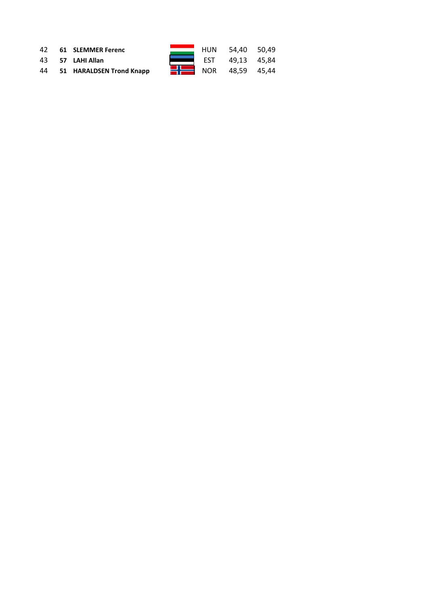|  | 42 61 SLEMMER Ferenc        |  | HUN 54,40 50,49               |  |
|--|-----------------------------|--|-------------------------------|--|
|  | 43 57 LAHI Allan            |  | EST 49,13 45,84               |  |
|  | 44 51 HARALDSEN Trond Knapp |  | $\frac{1}{2}$ NOR 48.59 45.44 |  |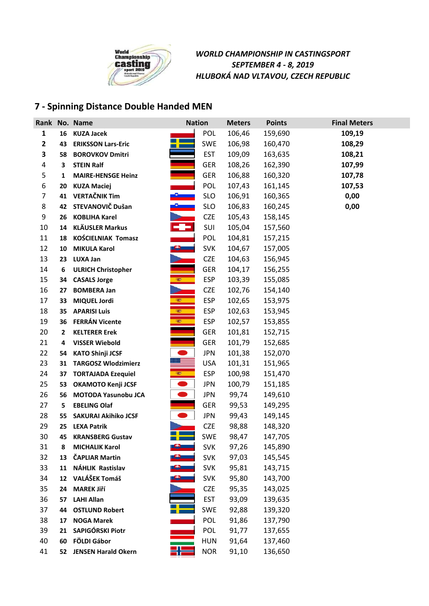

## **7 - Spinning Distance Double Handed MEN**

|                |    | Rank No. Name               | <b>Nation</b>                   | <b>Meters</b> | <b>Points</b> | <b>Final Meters</b> |
|----------------|----|-----------------------------|---------------------------------|---------------|---------------|---------------------|
| $\mathbf{1}$   | 16 | <b>KUZA Jacek</b>           | POL                             | 106,46        | 159,690       | 109,19              |
| $\mathbf{2}$   | 43 | <b>ERIKSSON Lars-Eric</b>   | <b>SWE</b>                      | 106,98        | 160,470       | 108,29              |
| 3              | 58 | <b>BOROVKOV Dmitri</b>      | <b>EST</b>                      | 109,09        | 163,635       | 108,21              |
| 4              | 3  | <b>STEIN Ralf</b>           | <b>GER</b>                      | 108,26        | 162,390       | 107,99              |
| 5              | 1  | <b>MAIRE-HENSGE Heinz</b>   | <b>GER</b>                      | 106,88        | 160,320       | 107,78              |
| 6              | 20 | <b>KUZA Maciej</b>          | POL                             | 107,43        | 161,145       | 107,53              |
| $\overline{7}$ | 41 | <b>VERTAČNIK Tim</b>        | <b>SLO</b>                      | 106,91        | 160,365       | 0,00                |
| 8              | 42 | STEVANOVIČ Dušan            | <b>SLO</b>                      | 106,83        | 160,245       | 0,00                |
| 9              | 26 | <b>KOBLIHA Karel</b>        | <b>CZE</b>                      | 105,43        | 158,145       |                     |
| 10             | 14 | <b>KLÄUSLER Markus</b>      | -9-<br>SUI                      | 105,04        | 157,560       |                     |
| 11             | 18 | <b>KOŚCIELNIAK Tomasz</b>   | POL                             | 104,81        | 157,215       |                     |
| 12             | 10 | <b>MIKULA Karol</b>         | <b>SVK</b><br><b>PH 2002</b>    | 104,67        | 157,005       |                     |
| 13             | 23 | <b>LUXA Jan</b>             | <b>CZE</b>                      | 104,63        | 156,945       |                     |
| 14             | 6  | <b>ULRICH Christopher</b>   | <b>GER</b>                      | 104,17        | 156,255       |                     |
| 15             | 34 | <b>CASALS Jorge</b>         | <b>ESP</b><br><b>PERSONAL</b>   | 103,39        | 155,085       |                     |
| 16             | 27 | <b>BOMBERA Jan</b>          | <b>CZE</b>                      | 102,76        | 154,140       |                     |
| 17             | 33 | <b>MIQUEL Jordi</b>         | 鑑<br><b>ESP</b>                 | 102,65        | 153,975       |                     |
| 18             | 35 | <b>APARISI Luis</b>         | <b>ESP</b><br>327               | 102,63        | 153,945       |                     |
| 19             | 36 | <b>FERRÁN Vicente</b>       | 鑑<br><b>ESP</b>                 | 102,57        | 153,855       |                     |
| 20             | 2  | <b>KELTERER Erek</b>        | <b>GER</b>                      | 101,81        | 152,715       |                     |
| 21             | 4  | <b>VISSER Wiebold</b>       | <b>GER</b>                      | 101,79        | 152,685       |                     |
| 22             | 54 | <b>KATO Shinji JCSF</b>     | <b>JPN</b>                      | 101,38        | 152,070       |                     |
| 23             | 31 | <b>TARGOSZ Wlodzimierz</b>  | <b>USA</b>                      | 101,31        | 151,965       |                     |
| 24             | 37 | <b>TORTAJADA Ezequiel</b>   | <b>SEARCH AND</b><br><b>ESP</b> | 100,98        | 151,470       |                     |
| 25             | 53 | OKAMOTO Kenji JCSF          | <b>JPN</b>                      | 100,79        | 151,185       |                     |
| 26             | 56 | MOTODA Yasunobu JCA         | <b>JPN</b>                      | 99,74         | 149,610       |                     |
| 27             | 5  | <b>EBELING Olaf</b>         | <b>GER</b>                      | 99,53         | 149,295       |                     |
| 28             | 55 | <b>SAKURAI Akihiko JCSF</b> | <b>JPN</b>                      | 99,43         | 149,145       |                     |
| 29             | 25 | <b>LEXA Patrik</b>          | <b>CZE</b>                      | 98,88         | 148,320       |                     |
| 30             | 45 | <b>KRANSBERG Gustav</b>     | <b>SWE</b>                      | 98,47         | 147,705       |                     |
| 31             | 8  | <b>MICHALIK Karol</b>       | <b>SVK</b>                      | 97,26         | 145,890       |                     |
| 32             | 13 | <b>ČAPLIAR Martin</b>       | <b>SVK</b>                      | 97,03         | 145,545       |                     |
| 33             | 11 | NÁHLIK Rastislav            | <b>SVK</b>                      | 95,81         | 143,715       |                     |
| 34             | 12 | VALÁŠEK Tomáš               | <b>SVK</b>                      | 95,80         | 143,700       |                     |
| 35             | 24 | <b>MAREK Jiří</b>           | <b>CZE</b>                      | 95,35         | 143,025       |                     |
| 36             | 57 | <b>LAHI Allan</b>           | <b>EST</b>                      | 93,09         | 139,635       |                     |
| 37             | 44 | <b>OSTLUND Robert</b>       | SWE                             | 92,88         | 139,320       |                     |
| 38             | 17 | <b>NOGA Marek</b>           | POL                             | 91,86         | 137,790       |                     |
| 39             | 21 | SAPIGÓRSKI Piotr            | POL                             | 91,77         | 137,655       |                     |
| 40             | 60 | FÖLDI Gábor                 | <b>HUN</b>                      | 91,64         | 137,460       |                     |
| 41             |    | 52 JENSEN Harald Okern      | <b>NOR</b>                      | 91,10         | 136,650       |                     |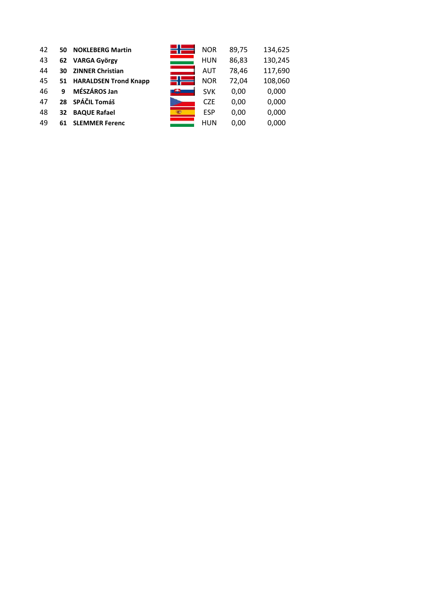| 42 | 50 | <b>NOKLEBERG Martin</b>  | <b>NOR</b> | 89,75 | 134,625 |
|----|----|--------------------------|------------|-------|---------|
| 43 | 62 | <b>VARGA György</b>      | <b>HUN</b> | 86,83 | 130,245 |
| 44 | 30 | <b>ZINNER Christian</b>  | AUT        | 78,46 | 117,690 |
| 45 |    | 51 HARALDSEN Trond Knapp | <b>NOR</b> | 72,04 | 108,060 |
| 46 | 9  | MÉSZÁROS Jan             | <b>SVK</b> | 0,00  | 0,000   |
| 47 | 28 | SPÁČIL Tomáš             | <b>CZE</b> | 0,00  | 0,000   |
| 48 | 32 | <b>BAQUE Rafael</b>      | <b>ESP</b> | 0,00  | 0,000   |
| 49 | 61 | <b>SLEMMER Ferenc</b>    | HUN        | 0,00  | 0,000   |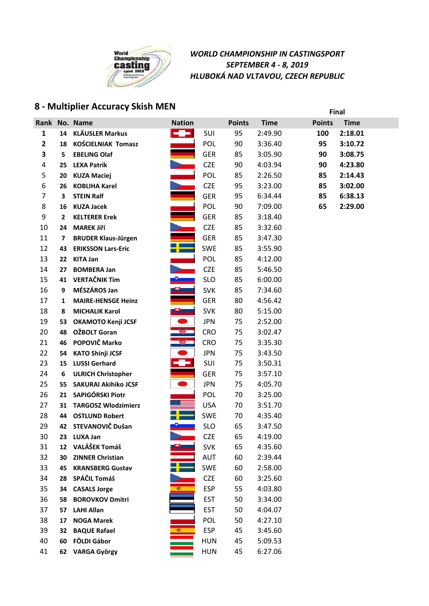

## **8 - Multiplier Accuracy Skish MEN Final**

|                |              | Rank No. Name               | <b>Nation</b> |            | <b>Points</b> | <b>Time</b> | <b>Points</b> | <b>Time</b> |
|----------------|--------------|-----------------------------|---------------|------------|---------------|-------------|---------------|-------------|
| 1              | 14           | <b>KLÄUSLER Markus</b>      | -9-           | SUI        | 95            | 2:49.90     | 100           | 2:18.01     |
| $\mathbf{2}$   | 18           | <b>KOŚCIELNIAK Tomasz</b>   |               | POL        | 90            | 3:36.40     | 95            | 3:10.72     |
| 3              | 5            | <b>EBELING Olaf</b>         |               | <b>GER</b> | 85            | 3:05.90     | 90            | 3:08.75     |
| 4              | 25           | <b>LEXA Patrik</b>          |               | <b>CZE</b> | 90            | 4:03.94     | 90            | 4:23.80     |
| 5              | 20           | <b>KUZA Maciej</b>          |               | POL        | 85            | 2:26.50     | 85            | 2:14.43     |
| 6              | 26           | <b>KOBLIHA Karel</b>        |               | <b>CZE</b> | 95            | 3:23.00     | 85            | 3:02.00     |
| $\overline{7}$ | 3            | <b>STEIN Ralf</b>           |               | GER        | 95            | 6:34.44     | 85            | 6:38.13     |
| 8              | 16           | <b>KUZA Jacek</b>           |               | POL        | 90            | 7:09.00     | 65            | 2:29.00     |
| 9              | $\mathbf{2}$ | <b>KELTERER Erek</b>        |               | <b>GER</b> | 85            | 3:18.40     |               |             |
| 10             | 24           | <b>MAREK Jiří</b>           |               | <b>CZE</b> | 85            | 3:32.60     |               |             |
| 11             | 7            | <b>BRUDER Klaus-Jürgen</b>  |               | <b>GER</b> | 85            | 3:47.30     |               |             |
| 12             | 43           | <b>ERIKSSON Lars-Eric</b>   |               | SWE        | 85            | 3:55.90     |               |             |
| 13             | 22           | <b>KITA Jan</b>             |               | POL        | 85            | 4:12.00     |               |             |
| 14             | 27           | <b>BOMBERA Jan</b>          |               | <b>CZE</b> | 85            | 5:46.50     |               |             |
| 15             | 41           | <b>VERTAČNIK Tim</b>        |               | <b>SLO</b> | 85            | 6:00.00     |               |             |
| 16             | 9            | MÉSZÁROS Jan                |               | <b>SVK</b> | 85            | 7:34.60     |               |             |
| 17             | 1            | <b>MAIRE-HENSGE Heinz</b>   |               | GER        | 80            | 4:56.42     |               |             |
| 18             | 8            | <b>MICHALIK Karol</b>       | ை             | <b>SVK</b> | 80            | 5:15.00     |               |             |
| 19             | 53           | <b>OKAMOTO Kenji JCSF</b>   | $\bullet$     | <b>JPN</b> | 75            | 2:52.00     |               |             |
| 20             | 48           | OŽBOLT Goran                |               | CRO        | 75            | 3:02.47     |               |             |
| 21             | 46           | POPOVIČ Marko               | 察             | <b>CRO</b> | 75            | 3:35.30     |               |             |
| 22             | 54           | <b>KATO Shinji JCSF</b>     |               | <b>JPN</b> | 75            | 3:43.50     |               |             |
| 23             | 15           | <b>LUSSI Gerhard</b>        |               | SUI        | 75            | 3:50.31     |               |             |
| 24             | 6            | <b>ULRICH Christopher</b>   |               | <b>GER</b> | 75            | 3:57.10     |               |             |
| 25             | 55           | <b>SAKURAI Akihiko JCSF</b> |               | <b>JPN</b> | 75            | 4:05.70     |               |             |
| 26             | 21           | SAPIGÓRSKI Piotr            |               | POL        | 70            | 3:25.00     |               |             |
| 27             | 31           | <b>TARGOSZ Wlodzimierz</b>  |               | <b>USA</b> | 70            | 3:51.70     |               |             |
| 28             | 44           | <b>OSTLUND Robert</b>       |               | <b>SWE</b> | 70            | 4:35.40     |               |             |
| 29             |              | 42 STEVANOVIČ Dušan         |               | <b>SLO</b> | 65            | 3:47.50     |               |             |
| 30             |              | 23 LUXA Jan                 |               | <b>CZE</b> | 65            | 4:19.00     |               |             |
| 31             |              | 12 VALÁŠEK Tomáš            |               | <b>SVK</b> | 65            | 4:35.60     |               |             |
| 32             | 30           | <b>ZINNER Christian</b>     |               | AUT        | 60            | 2:39.44     |               |             |
| 33             | 45           | <b>KRANSBERG Gustav</b>     |               | SWE        | 60            | 2:58.00     |               |             |
| 34             | 28           | SPÁČIL Tomáš                |               | <b>CZE</b> | 60            | 3:25.60     |               |             |
| 35             | 34           | <b>CASALS Jorge</b>         | 1927          | <b>ESP</b> | 55            | 4:03.80     |               |             |
| 36             | 58           | <b>BOROVKOV Dmitri</b>      |               | <b>EST</b> | 50            | 3:34.00     |               |             |
| 37             | 57           | <b>LAHI Allan</b>           |               | <b>EST</b> | 50            | 4:04.07     |               |             |
| 38             | 17           | <b>NOGA Marek</b>           |               | POL        | 50            | 4:27.10     |               |             |
| 39             | 32           | <b>BAQUE Rafael</b>         | œ.            | <b>ESP</b> | 45            | 3:45.60     |               |             |
| 40             | 60           | FÖLDI Gábor                 |               | <b>HUN</b> | 45            | 5:09.53     |               |             |
| 41             |              | 62 VARGA György             |               | <b>HUN</b> | 45            | 6:27.06     |               |             |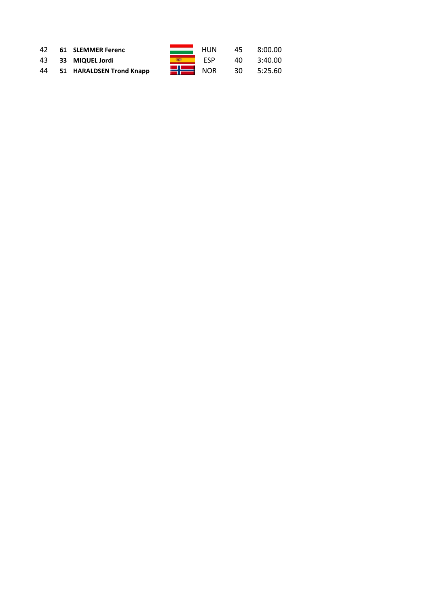| 42 | 61 SLEMMER Ferenc        |                    | HUN | 45  | 8:00.00 |
|----|--------------------------|--------------------|-----|-----|---------|
|    | 43 33 MIQUEL Jordi       |                    | FSP | 40. | 3:40.00 |
| 44 | 51 HARALDSEN Trond Knapp | $\blacksquare$ NOR |     | 30  | 5:25.60 |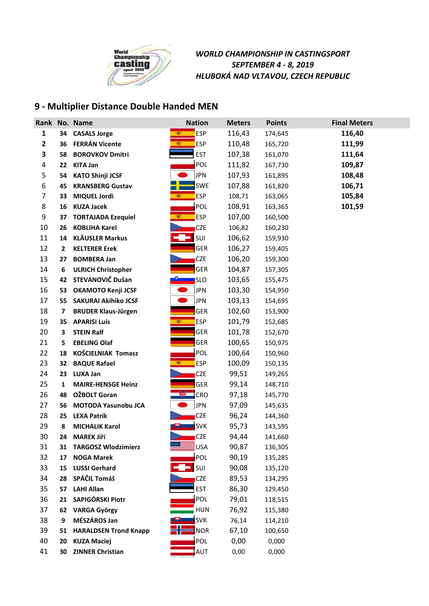

## **9 - Multiplier Distance Double Handed MEN**

|              |                | Rank No. Name                | <b>Nation</b>            | <b>Meters</b> | <b>Points</b> | <b>Final Meters</b> |
|--------------|----------------|------------------------------|--------------------------|---------------|---------------|---------------------|
| $\mathbf{1}$ | 34             | <b>CASALS Jorge</b>          | <b>ESP</b>               | 116,43        | 174,645       | 116,40              |
| $\mathbf{2}$ | 36             | <b>FERRÁN Vicente</b>        | <b>SEP</b><br><b>ESP</b> | 110,48        | 165,720       | 111,99              |
| 3            | 58             | <b>BOROVKOV Dmitri</b>       | <b>EST</b>               | 107,38        | 161,070       | 111,64              |
| 4            | 22             | <b>KITA Jan</b>              | POL                      | 111,82        | 167,730       | 109,87              |
| 5            | 54             | <b>KATO Shinji JCSF</b>      | JPN                      | 107,93        | 161,895       | 108,48              |
| 6            | 45             | <b>KRANSBERG Gustav</b>      | SWE                      | 107,88        | 161,820       | 106,71              |
| 7            | 33             | <b>MIQUEL Jordi</b>          | ESP<br>1927              | 108,71        | 163,065       | 105,84              |
| 8            | 16             | <b>KUZA Jacek</b>            | <b>POL</b>               | 108,91        | 163,365       | 101,59              |
| 9            | 37             | <b>TORTAJADA Ezequiel</b>    | <b>SEP</b><br><b>ESP</b> | 107,00        | 160,500       |                     |
| 10           | 26             | <b>KOBLIHA Karel</b>         | <b>CZE</b>               | 106,82        | 160,230       |                     |
| 11           | 14             | <b>KLÄUSLER Markus</b>       | SUI                      | 106,62        | 159,930       |                     |
| 12           | $\overline{2}$ | <b>KELTERER Erek</b>         | <b>GER</b>               | 106,27        | 159,405       |                     |
| 13           | 27             | <b>BOMBERA Jan</b>           | <b>CZE</b>               | 106,20        | 159,300       |                     |
| 14           | 6              | <b>ULRICH Christopher</b>    | <b>GER</b>               | 104,87        | 157,305       |                     |
| 15           | 42             | STEVANOVIČ Dušan             | <b>SLO</b>               | 103,65        | 155,475       |                     |
| 16           | 53             | <b>OKAMOTO Kenji JCSF</b>    | <b>JPN</b>               | 103,30        | 154,950       |                     |
| 17           | 55             | <b>SAKURAI Akihiko JCSF</b>  | JPN                      | 103,13        | 154,695       |                     |
| 18           | 7              | <b>BRUDER Klaus-Jürgen</b>   | GER                      | 102,60        | 153,900       |                     |
| 19           | 35             | <b>APARISI Luis</b>          | <b>ESP</b>               | 101,79        | 152,685       |                     |
| 20           | 3              | <b>STEIN Ralf</b>            | <b>GER</b>               | 101,78        | 152,670       |                     |
| 21           | 5              | <b>EBELING Olaf</b>          | <b>GER</b>               | 100,65        | 150,975       |                     |
| 22           | 18             | <b>KOŚCIELNIAK Tomasz</b>    | <b>POL</b>               | 100,64        | 150,960       |                     |
| 23           | 32             | <b>BAQUE Rafael</b>          | 室<br><b>ESP</b>          | 100,09        | 150,135       |                     |
| 24           | 23             | <b>LUXA Jan</b>              | <b>CZE</b>               | 99,51         | 149,265       |                     |
| 25           | 1              | <b>MAIRE-HENSGE Heinz</b>    | <b>GER</b>               | 99,14         | 148,710       |                     |
| 26           | 48             | OŽBOLT Goran                 | <b>CRO</b>               | 97,18         | 145,770       |                     |
| 27           | 56             | <b>MOTODA Yasunobu JCA</b>   | JPN                      | 97,09         | 145,635       |                     |
| 28           | 25             | <b>LEXA Patrik</b>           | <b>CZE</b>               | 96,24         | 144,360       |                     |
| 29           | 8              | <b>MICHALIK Karol</b>        | <b>SVK</b>               | 95,73         | 143,595       |                     |
| 30           | 24             | <b>MAREK Jiří</b>            | <b>CZE</b>               | 94,44         | 141,660       |                     |
| 31           |                | 31 TARGOSZ Wlodzimierz       | <b>USA</b>               | 90,87         | 136,305       |                     |
| 32           | 17             | <b>NOGA Marek</b>            | <b>POL</b>               | 90,19         | 135,285       |                     |
| 33           | 15             | <b>LUSSI Gerhard</b>         | SUI                      | 90,08         | 135,120       |                     |
| 34           | 28             | SPÁČIL Tomáš                 | <b>CZE</b>               | 89,53         | 134,295       |                     |
| 35           | 57             | <b>LAHI Allan</b>            | <b>EST</b>               | 86,30         | 129,450       |                     |
| 36           | 21             | SAPIGÓRSKI Piotr             | POL                      | 79,01         | 118,515       |                     |
| 37           | 62             | <b>VARGA György</b>          | <b>HUN</b>               | 76,92         | 115,380       |                     |
| 38           | 9              | MÉSZÁROS Jan                 | <b>SVK</b>               | 76,14         | 114,210       |                     |
| 39           | 51             | <b>HARALDSEN Trond Knapp</b> | <b>NOR</b>               | 67,10         | 100,650       |                     |
| 40           | 20             | <b>KUZA Maciej</b>           | POL                      | 0,00          | 0,000         |                     |
| 41           | 30             | <b>ZINNER Christian</b>      | AUT                      | 0,00          | 0,000         |                     |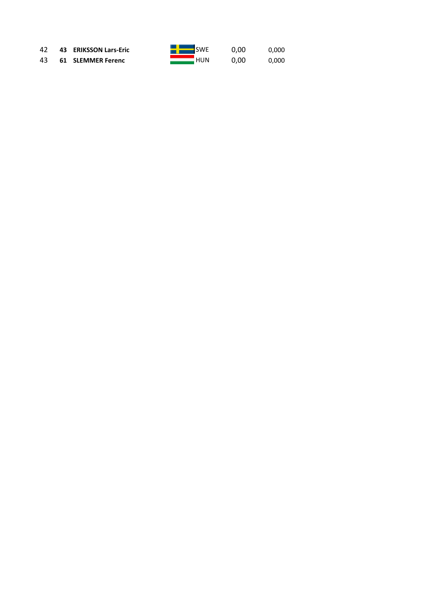43 **61 SLEMMER Ferenc** HUN 0,00 0,000

|  | i<br>- |
|--|--------|
|  |        |

**42 43 ERIKSSON Lars-Eric CONFIDENT SWE 0,00** 0,000<br> **43 61 SLEMMER Ferenc CONFIDENT HUN** 0,00 0,000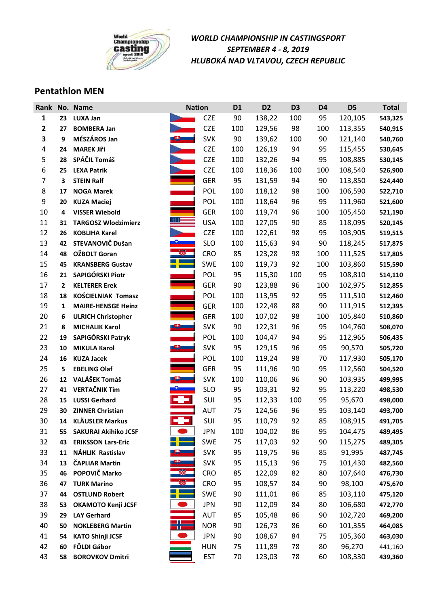

### **Pentathlon MEN**

| Rank           |                  | No. Name                    |            | <b>Nation</b> | D <sub>1</sub> | D <sub>2</sub> | D <sub>3</sub> | D <sub>4</sub> | D <sub>5</sub> | <b>Total</b> |
|----------------|------------------|-----------------------------|------------|---------------|----------------|----------------|----------------|----------------|----------------|--------------|
| 1              | 23               | <b>LUXA Jan</b>             |            | <b>CZE</b>    | 90             | 138,22         | 100            | 95             | 120,105        | 543,325      |
| 2              | 27               | <b>BOMBERA Jan</b>          |            | <b>CZE</b>    | 100            | 129,56         | 98             | 100            | 113,355        | 540,915      |
| 3              | $\boldsymbol{9}$ | MÉSZÁROS Jan                |            | <b>SVK</b>    | 90             | 139,62         | 100            | 90             | 121,140        | 540,760      |
| 4              | 24               | <b>MAREK Jiří</b>           |            | <b>CZE</b>    | 100            | 126,19         | 94             | 95             | 115,455        | 530,645      |
| 5              | 28               | SPÁČIL Tomáš                |            | <b>CZE</b>    | 100            | 132,26         | 94             | 95             | 108,885        | 530,145      |
| 6              | 25               | <b>LEXA Patrik</b>          |            | <b>CZE</b>    | 100            | 118,36         | 100            | 100            | 108,540        | 526,900      |
| $\overline{7}$ | 3                | <b>STEIN Ralf</b>           |            | <b>GER</b>    | 95             | 131,59         | 94             | 90             | 113,850        | 524,440      |
| 8              | 17               | <b>NOGA Marek</b>           |            | POL           | 100            | 118,12         | 98             | 100            | 106,590        | 522,710      |
| 9              | 20               | <b>KUZA Maciej</b>          |            | <b>POL</b>    | 100            | 118,64         | 96             | 95             | 111,960        | 521,600      |
| 10             | 4                | <b>VISSER Wiebold</b>       |            | <b>GER</b>    | 100            | 119,74         | 96             | 100            | 105,450        | 521,190      |
| 11             | 31               | <b>TARGOSZ Wlodzimierz</b>  |            | <b>USA</b>    | 100            | 127,05         | 90             | 85             | 118,095        | 520,145      |
| 12             | 26               | <b>KOBLIHA Karel</b>        |            | <b>CZE</b>    | 100            | 122,61         | 98             | 95             | 103,905        | 519,515      |
| 13             | 42               | STEVANOVIČ Dušan            |            | <b>SLO</b>    | 100            | 115,63         | 94             | 90             | 118,245        | 517,875      |
| 14             | 48               | OŽBOLT Goran                |            | <b>CRO</b>    | 85             | 123,28         | 98             | 100            | 111,525        | 517,805      |
| 15             | 45               | <b>KRANSBERG Gustav</b>     |            | SWE           | 100            | 119,73         | 92             | 100            | 103,860        | 515,590      |
| 16             | 21               | SAPIGÓRSKI Piotr            |            | POL           | 95             | 115,30         | 100            | 95             | 108,810        | 514,110      |
| 17             | $\overline{2}$   | <b>KELTERER Erek</b>        |            | <b>GER</b>    | 90             | 123,88         | 96             | 100            | 102,975        | 512,855      |
| 18             | 18               | <b>KOŚCIELNIAK Tomasz</b>   |            | POL           | 100            | 113,95         | 92             | 95             | 111,510        | 512,460      |
| 19             | $\mathbf{1}$     | <b>MAIRE-HENSGE Heinz</b>   |            | <b>GER</b>    | 100            | 122,48         | 88             | 90             | 111,915        | 512,395      |
| 20             | 6                | <b>ULRICH Christopher</b>   |            | <b>GER</b>    | 100            | 107,02         | 98             | 100            | 105,840        | 510,860      |
| 21             | 8                | <b>MICHALIK Karol</b>       | <u>e i</u> | <b>SVK</b>    | 90             | 122,31         | 96             | 95             | 104,760        | 508,070      |
| 22             | 19               | SAPIGÓRSKI Patryk           |            | POL           | 100            | 104,47         | 94             | 95             | 112,965        | 506,435      |
| 23             | 10               | <b>MIKULA Karol</b>         |            | <b>SVK</b>    | 95             | 129,15         | 96             | 95             | 90,570         | 505,720      |
| 24             | 16               | <b>KUZA Jacek</b>           |            | POL           | 100            | 119,24         | 98             | 70             | 117,930        | 505,170      |
| 25             | 5                | <b>EBELING Olaf</b>         |            | <b>GER</b>    | 95             | 111,96         | 90             | 95             | 112,560        | 504,520      |
| 26             | 12               | VALÁŠEK Tomáš               | <u>n </u>  | <b>SVK</b>    | 100            | 110,06         | 96             | 90             | 103,935        | 499,995      |
| 27             | 41               | <b>VERTAČNIK Tim</b>        |            | <b>SLO</b>    | 95             | 103,31         | 92             | 95             | 113,220        | 498,530      |
| 28             | 15               | <b>LUSSI Gerhard</b>        | ÷          | SUI           | 95             | 112,33         | 100            | 95             | 95,670         | 498,000      |
| 29             | 30               | <b>ZINNER Christian</b>     |            | AUT           | 75             | 124,56         | 96             | 95             | 103,140        | 493,700      |
| 30             | 14               | <b>KLÄUSLER Markus</b>      | ÷          | SUI           | 95             | 110,79         | 92             | 85             | 108,915        | 491,705      |
| 31             | 55               | <b>SAKURAI Akihiko JCSF</b> |            | <b>JPN</b>    | 100            | 104,02         | 86             | 95             | 104,475        | 489,495      |
| 32             | 43               | <b>ERIKSSON Lars-Eric</b>   |            | SWE           | 75             | 117,03         | 92             | 90             | 115,275        | 489,305      |
| 33             | 11               | NÁHLIK Rastislav            | . .        | <b>SVK</b>    | 95             | 119,75         | 96             | 85             | 91,995         | 487,745      |
| 34             | 13               | <b>ČAPLIAR Martin</b>       |            | <b>SVK</b>    | 95             | 115,13         | 96             | 75             | 101,430        | 482,560      |
| 35             | 46               | POPOVIČ Marko               | 蹘          | <b>CRO</b>    | 85             | 122,09         | 82             | 80             | 107,640        | 476,730      |
| 36             | 47               | <b>TURK Marino</b>          |            | <b>CRO</b>    | 95             | 108,57         | 84             | 90             | 98,100         | 475,670      |
| 37             | 44               | <b>OSTLUND Robert</b>       | ٤É         | SWE           | 90             | 111,01         | 86             | 85             | 103,110        | 475,120      |
| 38             | 53               | <b>OKAMOTO Kenji JCSF</b>   |            | <b>JPN</b>    | 90             | 112,09         | 84             | 80             | 106,680        | 472,770      |
| 39             | 29               | <b>LAY Gerhard</b>          |            | AUT           | 85             | 105,48         | 86             | 90             | 102,720        | 469,200      |
| 40             | 50               | <b>NOKLEBERG Martin</b>     | ╬═         | <b>NOR</b>    | 90             | 126,73         | 86             | 60             | 101,355        | 464,085      |
| 41             | 54               | <b>KATO Shinji JCSF</b>     |            | <b>JPN</b>    | 90             | 108,67         | 84             | 75             | 105,360        | 463,030      |
| 42             | 60               | FÖLDI Gábor                 |            | <b>HUN</b>    | 75             | 111,89         | 78             | 80             | 96,270         | 441,160      |
| 43             | 58               | <b>BOROVKOV Dmitri</b>      |            | <b>EST</b>    | 70             | 123,03         | 78             | 60             | 108,330        | 439,360      |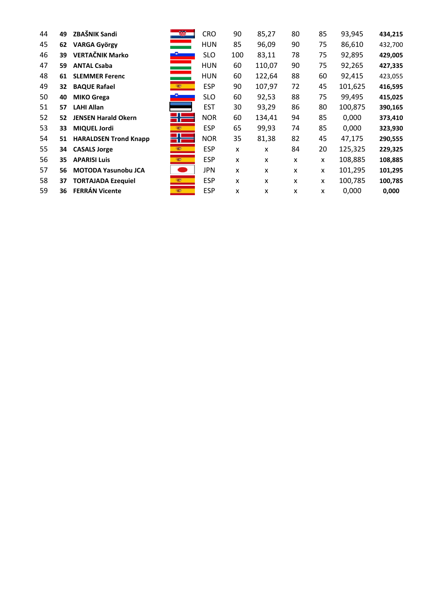| 44 | 49 | ZBAŠNIK Sandi                | 瓥           | <b>CRO</b> | 90  | 85,27  | 80 | 85 | 93,945  | 434,215 |
|----|----|------------------------------|-------------|------------|-----|--------|----|----|---------|---------|
| 45 | 62 | <b>VARGA György</b>          |             | HUN        | 85  | 96,09  | 90 | 75 | 86,610  | 432,700 |
| 46 | 39 | <b>VERTAČNIK Marko</b>       |             | <b>SLO</b> | 100 | 83,11  | 78 | 75 | 92,895  | 429,005 |
| 47 | 59 | <b>ANTAL Csaba</b>           |             | <b>HUN</b> | 60  | 110,07 | 90 | 75 | 92,265  | 427,335 |
| 48 | 61 | <b>SLEMMER Ferenc</b>        |             | <b>HUN</b> | 60  | 122,64 | 88 | 60 | 92,415  | 423,055 |
| 49 | 32 | <b>BAQUE Rafael</b>          |             | <b>ESP</b> | 90  | 107,97 | 72 | 45 | 101,625 | 416,595 |
| 50 | 40 | <b>MIKO Grega</b>            |             | <b>SLO</b> | 60  | 92,53  | 88 | 75 | 99,495  | 415,025 |
| 51 | 57 | <b>LAHI Allan</b>            |             | <b>EST</b> | 30  | 93,29  | 86 | 80 | 100,875 | 390,165 |
| 52 | 52 | <b>JENSEN Harald Okern</b>   | 25          | <b>NOR</b> | 60  | 134,41 | 94 | 85 | 0,000   | 373,410 |
| 53 | 33 | <b>MIQUEL Jordi</b>          | <b>REAL</b> | <b>ESP</b> | 65  | 99,93  | 74 | 85 | 0,000   | 323,930 |
| 54 | 51 | <b>HARALDSEN Trond Knapp</b> | $\bigoplus$ | <b>NOR</b> | 35  | 81,38  | 82 | 45 | 47,175  | 290,555 |
| 55 | 34 | <b>CASALS Jorge</b>          | <b>1927</b> | <b>ESP</b> | X   | X      | 84 | 20 | 125,325 | 229,325 |
| 56 | 35 | <b>APARISI Luis</b>          | <b>REAL</b> | <b>ESP</b> | X   | X      | X  | X  | 108,885 | 108,885 |
| 57 | 56 | MOTODA Yasunobu JCA          |             | <b>JPN</b> | X   | X      | X  | X  | 101,295 | 101,295 |
| 58 | 37 | <b>TORTAJADA Ezequiel</b>    | 蜜药          | <b>ESP</b> | X   | x      | X  | x  | 100,785 | 100,785 |
| 59 | 36 | <b>FERRÁN Vicente</b>        | 1927        | <b>ESP</b> | X   | x      | X  | X  | 0,000   | 0,000   |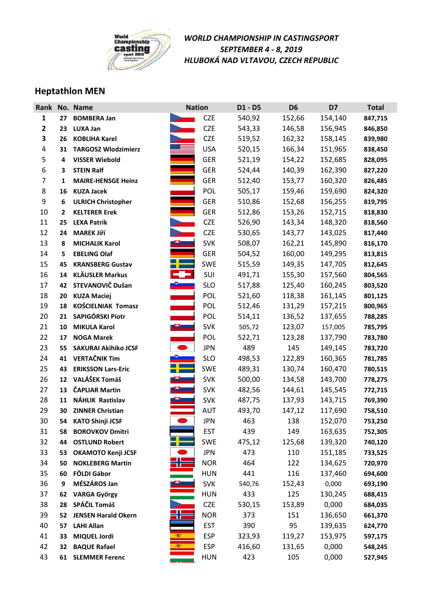

### **Heptathlon MEN**

| Rank           |                | No. Name                    |              | <b>Nation</b> | D1 - D5 | D <sub>6</sub> | D7      | <b>Total</b> |
|----------------|----------------|-----------------------------|--------------|---------------|---------|----------------|---------|--------------|
| 1              | 27             | <b>BOMBERA Jan</b>          |              | <b>CZE</b>    | 540,92  | 152,66         | 154,140 | 847,715      |
| $\mathbf{2}$   | 23             | <b>LUXA Jan</b>             |              | <b>CZE</b>    | 543,33  | 146,58         | 156,945 | 846,850      |
| 3              | 26             | <b>KOBLIHA Karel</b>        |              | <b>CZE</b>    | 519,52  | 162,32         | 158,145 | 839,980      |
| 4              | 31             | <b>TARGOSZ Wlodzimierz</b>  |              | <b>USA</b>    | 520,15  | 166,34         | 151,965 | 838,450      |
| 5              | 4              | <b>VISSER Wiebold</b>       |              | <b>GER</b>    | 521,19  | 154,22         | 152,685 | 828,095      |
| 6              | 3              | <b>STEIN Ralf</b>           |              | <b>GER</b>    | 524,44  | 140,39         | 162,390 | 827,220      |
| $\overline{7}$ | 1              | <b>MAIRE-HENSGE Heinz</b>   |              | <b>GER</b>    | 512,40  | 153,77         | 160,320 | 826,485      |
| 8              | 16             | <b>KUZA Jacek</b>           |              | POL           | 505,17  | 159,46         | 159,690 | 824,320      |
| 9              | 6              | <b>ULRICH Christopher</b>   |              | <b>GER</b>    | 510,86  | 152,68         | 156,255 | 819,795      |
| 10             | $\overline{2}$ | <b>KELTERER Erek</b>        |              | <b>GER</b>    | 512,86  | 153,26         | 152,715 | 818,830      |
| 11             | 25             | <b>LEXA Patrik</b>          |              | <b>CZE</b>    | 526,90  | 143,34         | 148,320 | 818,560      |
| 12             | 24             | <b>MAREK Jiří</b>           |              | <b>CZE</b>    | 530,65  | 143,77         | 143,025 | 817,440      |
| 13             | 8              | <b>MICHALIK Karol</b>       |              | <b>SVK</b>    | 508,07  | 162,21         | 145,890 | 816,170      |
| 14             | 5              | <b>EBELING Olaf</b>         |              | <b>GER</b>    | 504,52  | 160,00         | 149,295 | 813,815      |
| 15             | 45             | <b>KRANSBERG Gustav</b>     |              | <b>SWE</b>    | 515,59  | 149,35         | 147,705 | 812,645      |
| 16             | 14             | <b>KLÄUSLER Markus</b>      | e e          | SUI           | 491,71  | 155,30         | 157,560 | 804,565      |
| 17             | 42             | STEVANOVIČ Dušan            |              | <b>SLO</b>    | 517,88  | 125,40         | 160,245 | 803,520      |
| 18             | 20             | <b>KUZA Maciej</b>          |              | <b>POL</b>    | 521,60  | 118,38         | 161,145 | 801,125      |
| 19             | 18             | <b>KOŚCIELNIAK Tomasz</b>   |              | <b>POL</b>    | 512,46  | 131,29         | 157,215 | 800,965      |
| 20             | 21             | SAPIGÓRSKI Piotr            |              | POL           | 514,11  | 136,52         | 137,655 | 788,285      |
| 21             | 10             | <b>MIKULA Karol</b>         | $\mathbf{e}$ | <b>SVK</b>    | 505,72  | 123,07         | 157,005 | 785,795      |
| 22             | 17             | <b>NOGA Marek</b>           |              | POL           | 522,71  | 123,28         | 137,790 | 783,780      |
| 23             | 55             | <b>SAKURAI Akihiko JCSF</b> |              | <b>JPN</b>    | 489     | 145            | 149,145 | 783,720      |
| 24             | 41             | <b>VERTAČNIK Tim</b>        |              | <b>SLO</b>    | 498,53  | 122,89         | 160,365 | 781,785      |
| 25             | 43             | <b>ERIKSSON Lars-Eric</b>   |              | <b>SWE</b>    | 489,31  | 130,74         | 160,470 | 780,515      |
| 26             | 12             | VALÁŠEK Tomáš               |              | <b>SVK</b>    | 500,00  | 134,58         | 143,700 | 778,275      |
| 27             | 13             | <b>ČAPLIAR Martin</b>       |              | <b>SVK</b>    | 482,56  | 144,61         | 145,545 | 772,715      |
| 28             | 11             | NÁHLIK Rastislav            |              | <b>SVK</b>    | 487,75  | 137,93         | 143,715 | 769,390      |
| 29             | 30             | <b>ZINNER Christian</b>     |              | AUT           | 493,70  | 147,12         | 117,690 | 758,510      |
| 30             | 54             | <b>KATO Shinji JCSF</b>     |              | <b>JPN</b>    | 463     | 138            | 152,070 | 753,250      |
| 31             | 58             | <b>BOROVKOV Dmitri</b>      |              | <b>EST</b>    | 439     | 149            | 163,635 | 752,305      |
| 32             | 44             | <b>OSTLUND Robert</b>       |              | <b>SWE</b>    | 475,12  | 125,68         | 139,320 | 740,120      |
| 33             | 53             | OKAMOTO Kenji JCSF          |              | <b>JPN</b>    | 473     | 110            | 151,185 | 733,525      |
| 34             | 50             | <b>NOKLEBERG Martin</b>     |              | <b>NOR</b>    | 464     | 122            | 134,625 | 720,970      |
| 35             | 60             | FÖLDI Gábor                 |              | <b>HUN</b>    | 441     | 116            | 137,460 | 694,600      |
| 36             | 9              | MÉSZÁROS Jan                |              | <b>SVK</b>    | 540,76  | 152,43         | 0,000   | 693,190      |
| 37             | 62             | <b>VARGA György</b>         |              | <b>HUN</b>    | 433     | 125            | 130,245 | 688,415      |
| 38             | 28             | SPÁČIL Tomáš                |              | <b>CZE</b>    | 530,15  | 153,89         | 0,000   | 684,035      |
| 39             | 52             | <b>JENSEN Harald Okern</b>  |              | <b>NOR</b>    | 373     | 151            | 136,650 | 661,370      |
| 40             | 57             | <b>LAHI Allan</b>           |              | <b>EST</b>    | 390     | 95             | 139,635 | 624,770      |
| 41             | 33             | <b>MIQUEL Jordi</b>         | <b>SEP</b>   | <b>ESP</b>    | 323,93  | 119,27         | 153,975 | 597,175      |
| 42             | 32             | <b>BAQUE Rafael</b>         | <b>SEP</b>   | <b>ESP</b>    | 416,60  | 131,65         | 0,000   | 548,245      |
| 43             | 61             | <b>SLEMMER Ferenc</b>       |              | <b>HUN</b>    | 423     | 105            | 0,000   | 527,945      |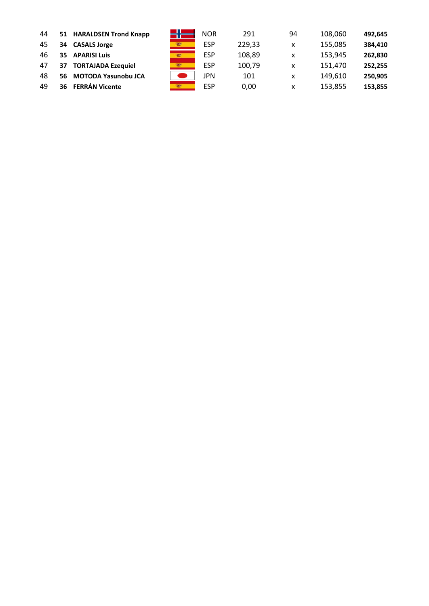| 44 |    | 51 HARALDSEN Trond Knapp   | <b>NOR</b> | 291    | 94 | 108,060 | 492,645 |
|----|----|----------------------------|------------|--------|----|---------|---------|
| 45 | 34 | <b>CASALS Jorge</b>        | ESP        | 229,33 | x  | 155,085 | 384,410 |
| 46 | 35 | <b>APARISI Luis</b>        | ESP        | 108,89 | х  | 153,945 | 262,830 |
| 47 | 37 | <b>TORTAJADA Ezequiel</b>  | ESP        | 100,79 | x  | 151.470 | 252,255 |
| 48 | 56 | <b>MOTODA Yasunobu JCA</b> | JPN        | 101    | х  | 149,610 | 250.905 |
| 49 | 36 | <b>FERRÁN Vicente</b>      | ESP        | 0,00   | х  | 153,855 | 153,855 |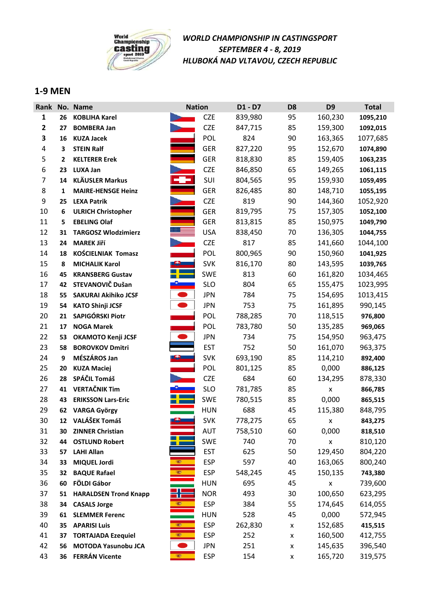

#### **1-9 MEN**

| Rank           |    | No. Name                     | <b>Nation</b> | D1 - D7               | D <sub>8</sub>     | D <sub>9</sub>     | <b>Total</b> |
|----------------|----|------------------------------|---------------|-----------------------|--------------------|--------------------|--------------|
| 1              | 26 | <b>KOBLIHA Karel</b>         |               | <b>CZE</b><br>839,980 | 95                 | 160,230            | 1095,210     |
| $\mathbf{2}$   | 27 | <b>BOMBERA Jan</b>           |               | <b>CZE</b><br>847,715 | 85                 | 159,300            | 1092,015     |
| 3              | 16 | <b>KUZA Jacek</b>            |               | POL<br>824            | 90                 | 163,365            | 1077,685     |
| 4              | 3  | <b>STEIN Ralf</b>            |               | <b>GER</b><br>827,220 | 95                 | 152,670            | 1074,890     |
| 5              | 2  | <b>KELTERER Erek</b>         |               | <b>GER</b><br>818,830 | 85                 | 159,405            | 1063,235     |
| 6              | 23 | <b>LUXA Jan</b>              |               | <b>CZE</b><br>846,850 | 65                 | 149,265            | 1061,115     |
| $\overline{7}$ | 14 | <b>KLÄUSLER Markus</b>       |               | SUI<br>804,565        | 95                 | 159,930            | 1059,495     |
| 8              | 1  | <b>MAIRE-HENSGE Heinz</b>    |               | <b>GER</b><br>826,485 | 80                 | 148,710            | 1055,195     |
| 9              | 25 | <b>LEXA Patrik</b>           |               | <b>CZE</b><br>819     | 90                 | 144,360            | 1052,920     |
| 10             | 6  | <b>ULRICH Christopher</b>    |               | <b>GER</b><br>819,795 | 75                 | 157,305            | 1052,100     |
| 11             | 5  | <b>EBELING Olaf</b>          |               | <b>GER</b><br>813,815 | 85                 | 150,975            | 1049,790     |
| 12             | 31 | <b>TARGOSZ Wlodzimierz</b>   |               | <b>USA</b><br>838,450 | 70                 | 136,305            | 1044,755     |
| 13             | 24 | <b>MAREK Jiří</b>            |               | <b>CZE</b><br>817     | 85                 | 141,660            | 1044,100     |
| 14             | 18 | <b>KOŚCIELNIAK Tomasz</b>    |               | <b>POL</b><br>800,965 | 90                 | 150,960            | 1041,925     |
| 15             | 8  | <b>MICHALIK Karol</b>        |               | <b>SVK</b><br>816,170 | 80                 | 143,595            | 1039,765     |
| 16             | 45 | <b>KRANSBERG Gustav</b>      |               | <b>SWE</b><br>813     | 60                 | 161,820            | 1034,465     |
| 17             | 42 | STEVANOVIČ Dušan             |               | <b>SLO</b><br>804     | 65                 | 155,475            | 1023,995     |
| 18             | 55 | <b>SAKURAI Akihiko JCSF</b>  |               | <b>JPN</b><br>784     | 75                 | 154,695            | 1013,415     |
| 19             | 54 | <b>KATO Shinji JCSF</b>      |               | <b>JPN</b><br>753     | 75                 | 161,895            | 990,145      |
| 20             | 21 | SAPIGÓRSKI Piotr             |               | POL<br>788,285        | 70                 | 118,515            | 976,800      |
| 21             | 17 | <b>NOGA Marek</b>            |               | <b>POL</b><br>783,780 | 50                 | 135,285            | 969,065      |
| 22             | 53 | <b>OKAMOTO Kenji JCSF</b>    | $\bullet$     | <b>JPN</b><br>734     | 75                 | 154,950            | 963,475      |
| 23             | 58 | <b>BOROVKOV Dmitri</b>       |               | <b>EST</b><br>752     | 50                 | 161,070            | 963,375      |
| 24             | 9  | MÉSZÁROS Jan                 |               | <b>SVK</b><br>693,190 | 85                 | 114,210            | 892,400      |
| 25             | 20 | <b>KUZA Maciej</b>           |               | POL<br>801,125        | 85                 | 0,000              | 886,125      |
| 26             | 28 | SPÁČIL Tomáš                 |               | <b>CZE</b><br>684     | 60                 | 134,295            | 878,330      |
| 27             | 41 | <b>VERTAČNIK Tim</b>         |               | <b>SLO</b><br>781,785 | 85                 | X                  | 866,785      |
| 28             | 43 | <b>ERIKSSON Lars-Eric</b>    |               | <b>SWE</b><br>780,515 | 85                 | 0,000              | 865,515      |
| 29             | 62 | <b>VARGA György</b>          |               | <b>HUN</b><br>688     | 45                 | 115,380            | 848,795      |
| 30             | 12 | VALÁŠEK Tomáš                | <u>ea </u>    | <b>SVK</b><br>778,275 | 65                 | x                  | 843,275      |
| 31             | 30 | <b>ZINNER Christian</b>      |               | AUT<br>758,510        | 60                 | 0,000              | 818,510      |
| 32             | 44 | <b>OSTLUND Robert</b>        |               | <b>SWE</b><br>740     | 70                 | $\pmb{\mathsf{X}}$ | 810,120      |
| 33             | 57 | <b>LAHI Allan</b>            |               | <b>EST</b><br>625     | 50                 | 129,450            | 804,220      |
| 34             | 33 | <b>MIQUEL Jordi</b>          | (g)           | <b>ESP</b><br>597     | 40                 | 163,065            | 800,240      |
| 35             | 32 | <b>BAQUE Rafael</b>          |               | <b>ESP</b><br>548,245 | 45                 | 150,135            | 743,380      |
| 36             | 60 | FÖLDI Gábor                  |               | <b>HUN</b><br>695     | 45                 | $\pmb{\mathsf{x}}$ | 739,600      |
| 37             | 51 | <b>HARALDSEN Trond Knapp</b> | ♣             | <b>NOR</b><br>493     | 30                 | 100,650            | 623,295      |
| 38             | 34 | <b>CASALS Jorge</b>          | œ.            | <b>ESP</b><br>384     | 55                 | 174,645            | 614,055      |
| 39             | 61 | <b>SLEMMER Ferenc</b>        |               | 528<br><b>HUN</b>     | 45                 | 0,000              | 572,945      |
| 40             | 35 | <b>APARISI Luis</b>          | 懲             | <b>ESP</b><br>262,830 | $\pmb{\mathsf{X}}$ | 152,685            | 415,515      |
| 41             | 37 | <b>TORTAJADA Ezequiel</b>    | 鑑             | <b>ESP</b><br>252     | X                  | 160,500            | 412,755      |
| 42             | 56 | MOTODA Yasunobu JCA          |               | <b>JPN</b><br>251     | X                  | 145,635            | 396,540      |
| 43             | 36 | <b>FERRÁN Vicente</b>        | 變             | <b>ESP</b><br>154     | X                  | 165,720            | 319,575      |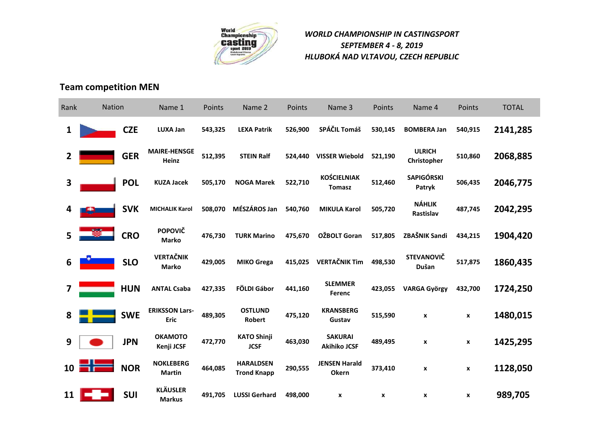

### **Team competition MEN**

| Rank | Nation |            | Name 1                               | Points  | Name 2                                 | Points  | Name 3                                | Points             | Name 4                       | Points             | <b>TOTAL</b> |
|------|--------|------------|--------------------------------------|---------|----------------------------------------|---------|---------------------------------------|--------------------|------------------------------|--------------------|--------------|
| 1    |        | <b>CZE</b> | <b>LUXA Jan</b>                      | 543,325 | <b>LEXA Patrik</b>                     | 526,900 | SPÁČIL Tomáš                          | 530,145            | <b>BOMBERA Jan</b>           | 540,915            | 2141,285     |
| 2    |        | <b>GER</b> | <b>MAIRE-HENSGE</b><br><b>Heinz</b>  | 512,395 | <b>STEIN Ralf</b>                      | 524,440 | <b>VISSER Wiebold</b>                 | 521,190            | <b>ULRICH</b><br>Christopher | 510,860            | 2068,885     |
| 3    |        | <b>POL</b> | <b>KUZA Jacek</b>                    | 505,170 | <b>NOGA Marek</b>                      | 522,710 | <b>KOŚCIELNIAK</b><br><b>Tomasz</b>   | 512,460            | <b>SAPIGÓRSKI</b><br>Patryk  | 506,435            | 2046,775     |
|      |        | <b>SVK</b> | <b>MICHALIK Karol</b>                | 508,070 | MÉSZÁROS Jan                           | 540,760 | <b>MIKULA Karol</b>                   | 505,720            | <b>NÁHLIK</b><br>Rastislav   | 487,745            | 2042,295     |
| 5    |        | <b>CRO</b> | <b>POPOVIČ</b><br><b>Marko</b>       | 476,730 | <b>TURK Marino</b>                     | 475,670 | OŽBOLT Goran                          | 517,805            | ZBAŠNIK Sandi                | 434,215            | 1904,420     |
| 6    |        | <b>SLO</b> | <b>VERTAČNIK</b><br><b>Marko</b>     | 429,005 | <b>MIKO Grega</b>                      | 415,025 | <b>VERTAČNIK Tim</b>                  | 498,530            | <b>STEVANOVIČ</b><br>Dušan   | 517,875            | 1860,435     |
| 7    |        | <b>HUN</b> | <b>ANTAL Csaba</b>                   | 427,335 | FÖLDI Gábor                            | 441,160 | <b>SLEMMER</b><br><b>Ferenc</b>       | 423,055            | <b>VARGA György</b>          | 432,700            | 1724,250     |
| 8    |        | <b>SWE</b> | <b>ERIKSSON Lars-</b><br><b>Eric</b> | 489,305 | <b>OSTLUND</b><br>Robert               | 475,120 | <b>KRANSBERG</b><br>Gustav            | 515,590            | $\pmb{\chi}$                 | X                  | 1480,015     |
| 9    |        | <b>JPN</b> | <b>OKAMOTO</b><br>Kenji JCSF         | 472,770 | <b>KATO Shinji</b><br><b>JCSF</b>      | 463,030 | <b>SAKURAI</b><br><b>Akihiko JCSF</b> | 489,495            | $\pmb{\mathsf{x}}$           | $\pmb{\mathsf{x}}$ | 1425,295     |
| 10   |        | <b>NOR</b> | <b>NOKLEBERG</b><br><b>Martin</b>    | 464,085 | <b>HARALDSEN</b><br><b>Trond Knapp</b> | 290,555 | <b>JENSEN Harald</b><br><b>Okern</b>  | 373,410            | $\boldsymbol{x}$             | $\mathbf{x}$       | 1128,050     |
| 11   |        | <b>SUI</b> | <b>KLÄUSLER</b><br><b>Markus</b>     | 491,705 | <b>LUSSI Gerhard</b>                   | 498,000 | X                                     | $\pmb{\mathsf{x}}$ | $\pmb{\mathsf{x}}$           | $\pmb{\mathsf{x}}$ | 989,705      |